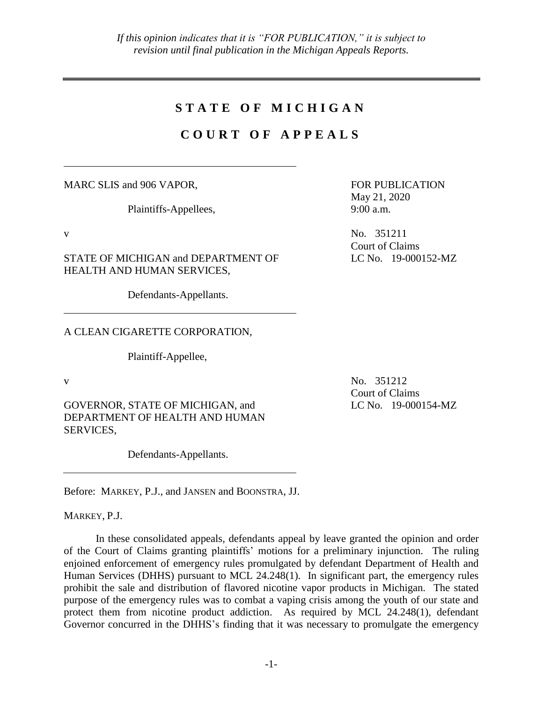# **S T A T E O F M I C H I G A N**

# **C O U R T O F A P P E A L S**

MARC SLIS and 906 VAPOR,

Plaintiffs-Appellees,

STATE OF MICHIGAN and DEPARTMENT OF HEALTH AND HUMAN SERVICES,

Defendants-Appellants.

A CLEAN CIGARETTE CORPORATION,

Plaintiff-Appellee,

GOVERNOR, STATE OF MICHIGAN, and DEPARTMENT OF HEALTH AND HUMAN SERVICES,

Defendants-Appellants.

Before: MARKEY, P.J., and JANSEN and BOONSTRA, JJ.

MARKEY, P.J.

In these consolidated appeals, defendants appeal by leave granted the opinion and order of the Court of Claims granting plaintiffs' motions for a preliminary injunction. The ruling enjoined enforcement of emergency rules promulgated by defendant Department of Health and Human Services (DHHS) pursuant to MCL 24.248(1). In significant part, the emergency rules prohibit the sale and distribution of flavored nicotine vapor products in Michigan. The stated purpose of the emergency rules was to combat a vaping crisis among the youth of our state and protect them from nicotine product addiction. As required by MCL 24.248(1), defendant Governor concurred in the DHHS's finding that it was necessary to promulgate the emergency

FOR PUBLICATION May 21, 2020 9:00 a.m.

v No. 351211 Court of Claims LC No. 19-000152-MZ

v No. 351212 Court of Claims LC No. 19-000154-MZ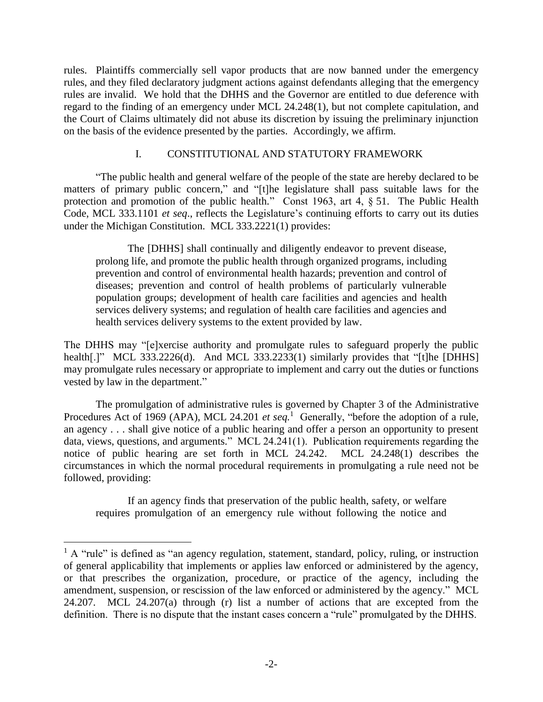rules. Plaintiffs commercially sell vapor products that are now banned under the emergency rules, and they filed declaratory judgment actions against defendants alleging that the emergency rules are invalid. We hold that the DHHS and the Governor are entitled to due deference with regard to the finding of an emergency under MCL 24.248(1), but not complete capitulation, and the Court of Claims ultimately did not abuse its discretion by issuing the preliminary injunction on the basis of the evidence presented by the parties. Accordingly, we affirm.

## I. CONSTITUTIONAL AND STATUTORY FRAMEWORK

"The public health and general welfare of the people of the state are hereby declared to be matters of primary public concern," and "[t]he legislature shall pass suitable laws for the protection and promotion of the public health." Const 1963, art 4, § 51. The Public Health Code, MCL 333.1101 *et seq*., reflects the Legislature's continuing efforts to carry out its duties under the Michigan Constitution. MCL 333.2221(1) provides:

The [DHHS] shall continually and diligently endeavor to prevent disease, prolong life, and promote the public health through organized programs, including prevention and control of environmental health hazards; prevention and control of diseases; prevention and control of health problems of particularly vulnerable population groups; development of health care facilities and agencies and health services delivery systems; and regulation of health care facilities and agencies and health services delivery systems to the extent provided by law.

The DHHS may "[e]xercise authority and promulgate rules to safeguard properly the public health[.]" MCL 333.2226(d). And MCL 333.2233(1) similarly provides that "[t]he [DHHS] may promulgate rules necessary or appropriate to implement and carry out the duties or functions vested by law in the department."

The promulgation of administrative rules is governed by Chapter 3 of the Administrative Procedures Act of 1969 (APA), MCL 24.201 *et seq*.<sup>1</sup> Generally, "before the adoption of a rule, an agency . . . shall give notice of a public hearing and offer a person an opportunity to present data, views, questions, and arguments." MCL 24.241(1). Publication requirements regarding the notice of public hearing are set forth in MCL 24.242. MCL 24.248(1) describes the circumstances in which the normal procedural requirements in promulgating a rule need not be followed, providing:

If an agency finds that preservation of the public health, safety, or welfare requires promulgation of an emergency rule without following the notice and

 $<sup>1</sup>$  A "rule" is defined as "an agency regulation, statement, standard, policy, ruling, or instruction</sup> of general applicability that implements or applies law enforced or administered by the agency, or that prescribes the organization, procedure, or practice of the agency, including the amendment, suspension, or rescission of the law enforced or administered by the agency." MCL 24.207. MCL 24.207(a) through (r) list a number of actions that are excepted from the definition. There is no dispute that the instant cases concern a "rule" promulgated by the DHHS.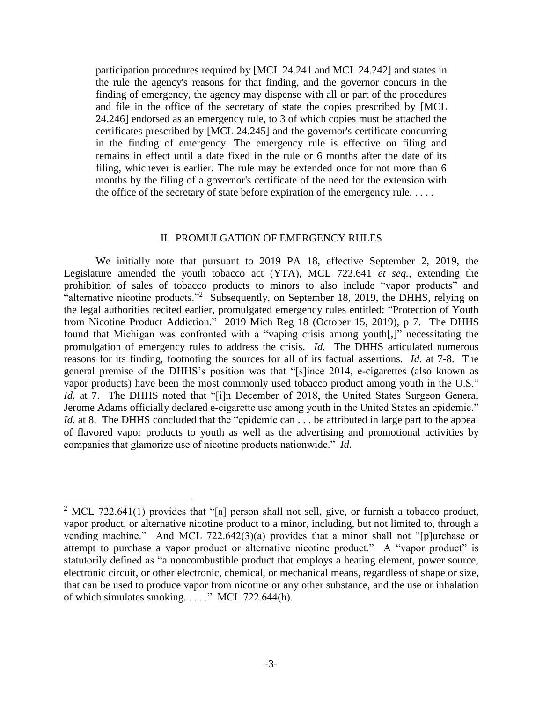participation procedures required by [MCL 24.241 and MCL 24.242] and states in the rule the agency's reasons for that finding, and the governor concurs in the finding of emergency, the agency may dispense with all or part of the procedures and file in the office of the secretary of state the copies prescribed by [MCL 24.246] endorsed as an emergency rule, to 3 of which copies must be attached the certificates prescribed by [MCL 24.245] and the governor's certificate concurring in the finding of emergency. The emergency rule is effective on filing and remains in effect until a date fixed in the rule or 6 months after the date of its filing, whichever is earlier. The rule may be extended once for not more than 6 months by the filing of a governor's certificate of the need for the extension with the office of the secretary of state before expiration of the emergency rule. . . . .

#### II. PROMULGATION OF EMERGENCY RULES

We initially note that pursuant to 2019 PA 18, effective September 2, 2019, the Legislature amended the youth tobacco act (YTA), MCL 722.641 *et seq.*, extending the prohibition of sales of tobacco products to minors to also include "vapor products" and "alternative nicotine products."<sup>2</sup> Subsequently, on September 18, 2019, the DHHS, relying on the legal authorities recited earlier, promulgated emergency rules entitled: "Protection of Youth from Nicotine Product Addiction." 2019 Mich Reg 18 (October 15, 2019), p 7. The DHHS found that Michigan was confronted with a "vaping crisis among youth[,]" necessitating the promulgation of emergency rules to address the crisis. *Id.* The DHHS articulated numerous reasons for its finding, footnoting the sources for all of its factual assertions. *Id.* at 7-8. The general premise of the DHHS's position was that "[s]ince 2014, e-cigarettes (also known as vapor products) have been the most commonly used tobacco product among youth in the U.S." *Id.* at 7. The DHHS noted that "[i]n December of 2018, the United States Surgeon General Jerome Adams officially declared e-cigarette use among youth in the United States an epidemic." *Id.* at 8. The DHHS concluded that the "epidemic can . . . be attributed in large part to the appeal of flavored vapor products to youth as well as the advertising and promotional activities by companies that glamorize use of nicotine products nationwide." *Id.*

 $2^2$  MCL 722.641(1) provides that "[a] person shall not sell, give, or furnish a tobacco product, vapor product, or alternative nicotine product to a minor, including, but not limited to, through a vending machine." And MCL 722.642(3)(a) provides that a minor shall not "[p]urchase or attempt to purchase a vapor product or alternative nicotine product." A "vapor product" is statutorily defined as "a noncombustible product that employs a heating element, power source, electronic circuit, or other electronic, chemical, or mechanical means, regardless of shape or size, that can be used to produce vapor from nicotine or any other substance, and the use or inhalation of which simulates smoking.  $\ldots$  ." MCL 722.644(h).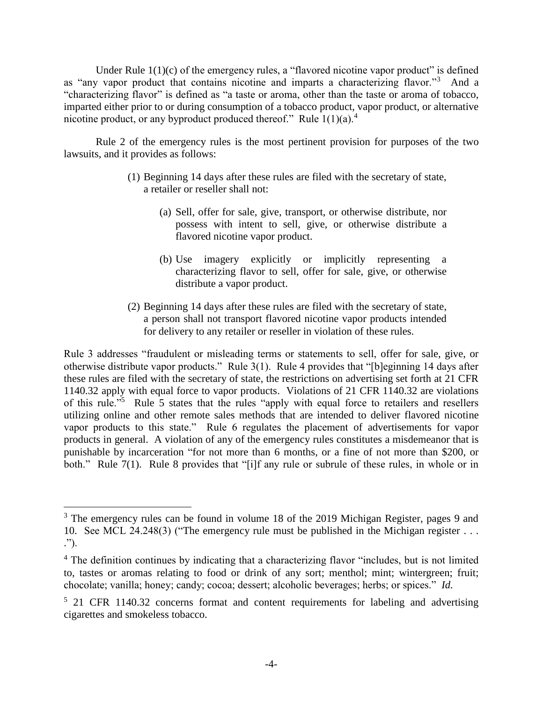Under Rule  $1(1)(c)$  of the emergency rules, a "flavored nicotine vapor product" is defined as "any vapor product that contains nicotine and imparts a characterizing flavor."<sup>3</sup> And a "characterizing flavor" is defined as "a taste or aroma, other than the taste or aroma of tobacco, imparted either prior to or during consumption of a tobacco product, vapor product, or alternative nicotine product, or any byproduct produced thereof." Rule  $1(1)(a)$ .<sup>4</sup>

Rule 2 of the emergency rules is the most pertinent provision for purposes of the two lawsuits, and it provides as follows:

- (1) Beginning 14 days after these rules are filed with the secretary of state, a retailer or reseller shall not:
	- (a) Sell, offer for sale, give, transport, or otherwise distribute, nor possess with intent to sell, give, or otherwise distribute a flavored nicotine vapor product.
	- (b) Use imagery explicitly or implicitly representing a characterizing flavor to sell, offer for sale, give, or otherwise distribute a vapor product.
- (2) Beginning 14 days after these rules are filed with the secretary of state, a person shall not transport flavored nicotine vapor products intended for delivery to any retailer or reseller in violation of these rules.

Rule 3 addresses "fraudulent or misleading terms or statements to sell, offer for sale, give, or otherwise distribute vapor products." Rule 3(1). Rule 4 provides that "[b]eginning 14 days after these rules are filed with the secretary of state, the restrictions on advertising set forth at 21 CFR 1140.32 apply with equal force to vapor products. Violations of 21 CFR 1140.32 are violations of this rule."<sup>5</sup> Rule 5 states that the rules "apply with equal force to retailers and resellers utilizing online and other remote sales methods that are intended to deliver flavored nicotine vapor products to this state." Rule 6 regulates the placement of advertisements for vapor products in general. A violation of any of the emergency rules constitutes a misdemeanor that is punishable by incarceration "for not more than 6 months, or a fine of not more than \$200, or both." Rule 7(1). Rule 8 provides that "[i]f any rule or subrule of these rules, in whole or in

<sup>&</sup>lt;sup>3</sup> The emergency rules can be found in volume 18 of the 2019 Michigan Register, pages 9 and 10. See MCL 24.248(3) ("The emergency rule must be published in the Michigan register . . . .").

<sup>&</sup>lt;sup>4</sup> The definition continues by indicating that a characterizing flavor "includes, but is not limited to, tastes or aromas relating to food or drink of any sort; menthol; mint; wintergreen; fruit; chocolate; vanilla; honey; candy; cocoa; dessert; alcoholic beverages; herbs; or spices." *Id.* 

<sup>&</sup>lt;sup>5</sup> 21 CFR 1140.32 concerns format and content requirements for labeling and advertising cigarettes and smokeless tobacco.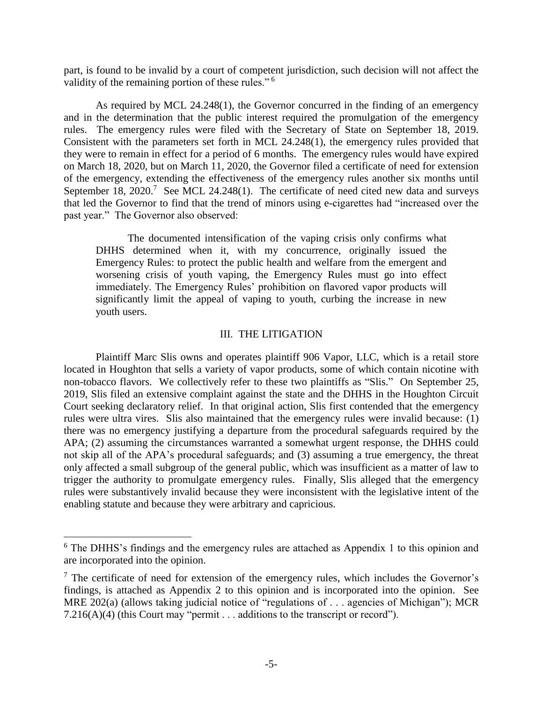part, is found to be invalid by a court of competent jurisdiction, such decision will not affect the validity of the remaining portion of these rules."<sup>6</sup>

As required by MCL 24.248(1), the Governor concurred in the finding of an emergency and in the determination that the public interest required the promulgation of the emergency rules. The emergency rules were filed with the Secretary of State on September 18, 2019. Consistent with the parameters set forth in MCL 24.248(1), the emergency rules provided that they were to remain in effect for a period of 6 months. The emergency rules would have expired on March 18, 2020, but on March 11, 2020, the Governor filed a certificate of need for extension of the emergency, extending the effectiveness of the emergency rules another six months until September 18,  $2020$ .<sup>7</sup> See MCL 24.248(1). The certificate of need cited new data and surveys that led the Governor to find that the trend of minors using e-cigarettes had "increased over the past year." The Governor also observed:

The documented intensification of the vaping crisis only confirms what DHHS determined when it, with my concurrence, originally issued the Emergency Rules: to protect the public health and welfare from the emergent and worsening crisis of youth vaping, the Emergency Rules must go into effect immediately. The Emergency Rules' prohibition on flavored vapor products will significantly limit the appeal of vaping to youth, curbing the increase in new youth users.

#### III. THE LITIGATION

Plaintiff Marc Slis owns and operates plaintiff 906 Vapor, LLC, which is a retail store located in Houghton that sells a variety of vapor products, some of which contain nicotine with non-tobacco flavors. We collectively refer to these two plaintiffs as "Slis." On September 25, 2019, Slis filed an extensive complaint against the state and the DHHS in the Houghton Circuit Court seeking declaratory relief. In that original action, Slis first contended that the emergency rules were ultra vires. Slis also maintained that the emergency rules were invalid because: (1) there was no emergency justifying a departure from the procedural safeguards required by the APA; (2) assuming the circumstances warranted a somewhat urgent response, the DHHS could not skip all of the APA's procedural safeguards; and (3) assuming a true emergency, the threat only affected a small subgroup of the general public, which was insufficient as a matter of law to trigger the authority to promulgate emergency rules. Finally, Slis alleged that the emergency rules were substantively invalid because they were inconsistent with the legislative intent of the enabling statute and because they were arbitrary and capricious.

<sup>&</sup>lt;sup>6</sup> The DHHS's findings and the emergency rules are attached as Appendix 1 to this opinion and are incorporated into the opinion.

 $<sup>7</sup>$  The certificate of need for extension of the emergency rules, which includes the Governor's</sup> findings, is attached as Appendix 2 to this opinion and is incorporated into the opinion. See MRE 202(a) (allows taking judicial notice of "regulations of . . . agencies of Michigan"); MCR 7.216(A)(4) (this Court may "permit . . . additions to the transcript or record").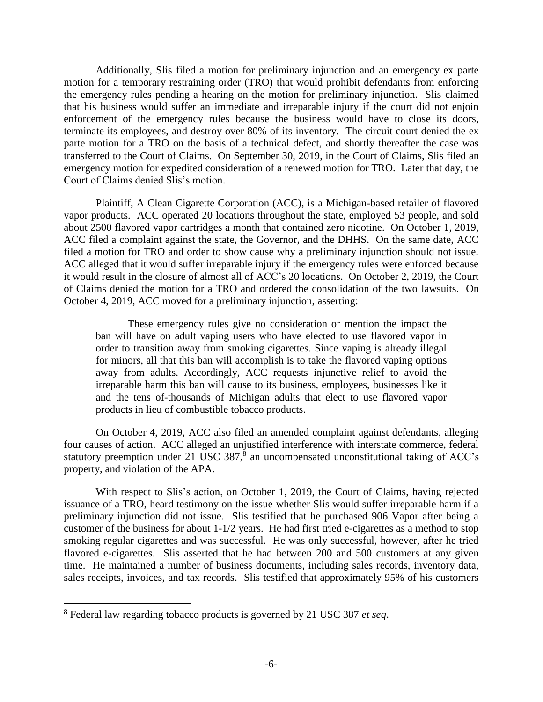Additionally, Slis filed a motion for preliminary injunction and an emergency ex parte motion for a temporary restraining order (TRO) that would prohibit defendants from enforcing the emergency rules pending a hearing on the motion for preliminary injunction. Slis claimed that his business would suffer an immediate and irreparable injury if the court did not enjoin enforcement of the emergency rules because the business would have to close its doors, terminate its employees, and destroy over 80% of its inventory. The circuit court denied the ex parte motion for a TRO on the basis of a technical defect, and shortly thereafter the case was transferred to the Court of Claims. On September 30, 2019, in the Court of Claims, Slis filed an emergency motion for expedited consideration of a renewed motion for TRO. Later that day, the Court of Claims denied Slis's motion.

Plaintiff, A Clean Cigarette Corporation (ACC), is a Michigan-based retailer of flavored vapor products. ACC operated 20 locations throughout the state, employed 53 people, and sold about 2500 flavored vapor cartridges a month that contained zero nicotine. On October 1, 2019, ACC filed a complaint against the state, the Governor, and the DHHS. On the same date, ACC filed a motion for TRO and order to show cause why a preliminary injunction should not issue. ACC alleged that it would suffer irreparable injury if the emergency rules were enforced because it would result in the closure of almost all of ACC's 20 locations. On October 2, 2019, the Court of Claims denied the motion for a TRO and ordered the consolidation of the two lawsuits. On October 4, 2019, ACC moved for a preliminary injunction, asserting:

These emergency rules give no consideration or mention the impact the ban will have on adult vaping users who have elected to use flavored vapor in order to transition away from smoking cigarettes. Since vaping is already illegal for minors, all that this ban will accomplish is to take the flavored vaping options away from adults. Accordingly, ACC requests injunctive relief to avoid the irreparable harm this ban will cause to its business, employees, businesses like it and the tens of-thousands of Michigan adults that elect to use flavored vapor products in lieu of combustible tobacco products.

On October 4, 2019, ACC also filed an amended complaint against defendants, alleging four causes of action. ACC alleged an unjustified interference with interstate commerce, federal statutory preemption under 21 USC 387, $\textdegree$  an uncompensated unconstitutional taking of ACC's property, and violation of the APA.

With respect to Slis's action, on October 1, 2019, the Court of Claims, having rejected issuance of a TRO, heard testimony on the issue whether Slis would suffer irreparable harm if a preliminary injunction did not issue. Slis testified that he purchased 906 Vapor after being a customer of the business for about 1-1/2 years. He had first tried e-cigarettes as a method to stop smoking regular cigarettes and was successful. He was only successful, however, after he tried flavored e-cigarettes. Slis asserted that he had between 200 and 500 customers at any given time. He maintained a number of business documents, including sales records, inventory data, sales receipts, invoices, and tax records. Slis testified that approximately 95% of his customers

<sup>8</sup> Federal law regarding tobacco products is governed by 21 USC 387 *et seq*.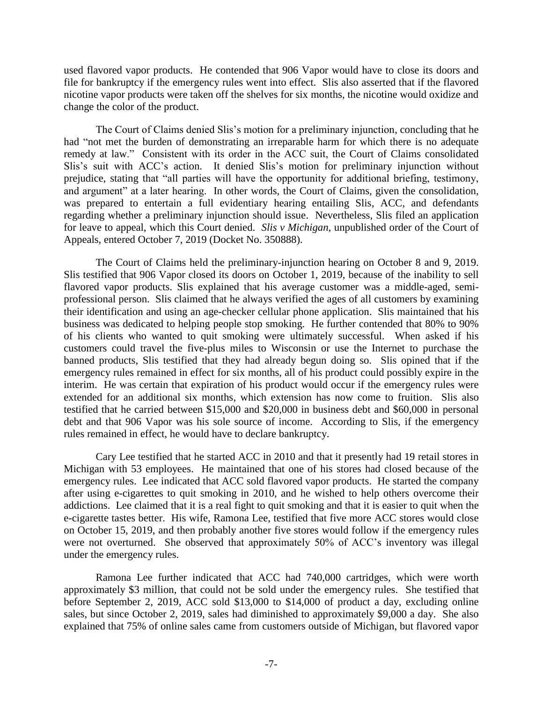used flavored vapor products. He contended that 906 Vapor would have to close its doors and file for bankruptcy if the emergency rules went into effect. Slis also asserted that if the flavored nicotine vapor products were taken off the shelves for six months, the nicotine would oxidize and change the color of the product.

The Court of Claims denied Slis's motion for a preliminary injunction, concluding that he had "not met the burden of demonstrating an irreparable harm for which there is no adequate remedy at law." Consistent with its order in the ACC suit, the Court of Claims consolidated Slis's suit with ACC's action. It denied Slis's motion for preliminary injunction without prejudice, stating that "all parties will have the opportunity for additional briefing, testimony, and argument" at a later hearing. In other words, the Court of Claims, given the consolidation, was prepared to entertain a full evidentiary hearing entailing Slis, ACC, and defendants regarding whether a preliminary injunction should issue. Nevertheless, Slis filed an application for leave to appeal, which this Court denied. *Slis v Michigan*, unpublished order of the Court of Appeals, entered October 7, 2019 (Docket No. 350888)*.* 

The Court of Claims held the preliminary-injunction hearing on October 8 and 9, 2019. Slis testified that 906 Vapor closed its doors on October 1, 2019, because of the inability to sell flavored vapor products. Slis explained that his average customer was a middle-aged, semiprofessional person. Slis claimed that he always verified the ages of all customers by examining their identification and using an age-checker cellular phone application. Slis maintained that his business was dedicated to helping people stop smoking. He further contended that 80% to 90% of his clients who wanted to quit smoking were ultimately successful. When asked if his customers could travel the five-plus miles to Wisconsin or use the Internet to purchase the banned products, Slis testified that they had already begun doing so. Slis opined that if the emergency rules remained in effect for six months, all of his product could possibly expire in the interim. He was certain that expiration of his product would occur if the emergency rules were extended for an additional six months, which extension has now come to fruition. Slis also testified that he carried between \$15,000 and \$20,000 in business debt and \$60,000 in personal debt and that 906 Vapor was his sole source of income. According to Slis, if the emergency rules remained in effect, he would have to declare bankruptcy.

Cary Lee testified that he started ACC in 2010 and that it presently had 19 retail stores in Michigan with 53 employees. He maintained that one of his stores had closed because of the emergency rules. Lee indicated that ACC sold flavored vapor products. He started the company after using e-cigarettes to quit smoking in 2010, and he wished to help others overcome their addictions. Lee claimed that it is a real fight to quit smoking and that it is easier to quit when the e-cigarette tastes better. His wife, Ramona Lee, testified that five more ACC stores would close on October 15, 2019, and then probably another five stores would follow if the emergency rules were not overturned. She observed that approximately 50% of ACC's inventory was illegal under the emergency rules.

Ramona Lee further indicated that ACC had 740,000 cartridges, which were worth approximately \$3 million, that could not be sold under the emergency rules. She testified that before September 2, 2019, ACC sold \$13,000 to \$14,000 of product a day, excluding online sales, but since October 2, 2019, sales had diminished to approximately \$9,000 a day. She also explained that 75% of online sales came from customers outside of Michigan, but flavored vapor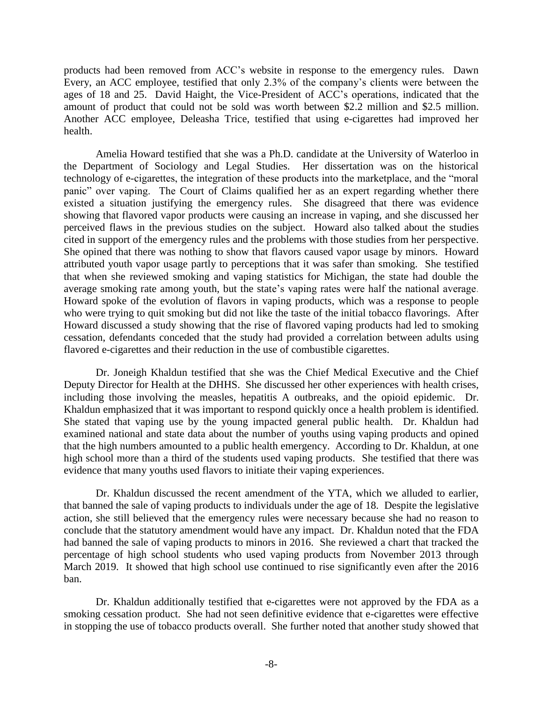products had been removed from ACC's website in response to the emergency rules. Dawn Every, an ACC employee, testified that only 2.3% of the company's clients were between the ages of 18 and 25. David Haight, the Vice-President of ACC's operations, indicated that the amount of product that could not be sold was worth between \$2.2 million and \$2.5 million. Another ACC employee, Deleasha Trice, testified that using e-cigarettes had improved her health.

Amelia Howard testified that she was a Ph.D. candidate at the University of Waterloo in the Department of Sociology and Legal Studies. Her dissertation was on the historical technology of e-cigarettes, the integration of these products into the marketplace, and the "moral panic" over vaping. The Court of Claims qualified her as an expert regarding whether there existed a situation justifying the emergency rules. She disagreed that there was evidence showing that flavored vapor products were causing an increase in vaping, and she discussed her perceived flaws in the previous studies on the subject. Howard also talked about the studies cited in support of the emergency rules and the problems with those studies from her perspective. She opined that there was nothing to show that flavors caused vapor usage by minors. Howard attributed youth vapor usage partly to perceptions that it was safer than smoking. She testified that when she reviewed smoking and vaping statistics for Michigan, the state had double the average smoking rate among youth, but the state's vaping rates were half the national average. Howard spoke of the evolution of flavors in vaping products, which was a response to people who were trying to quit smoking but did not like the taste of the initial tobacco flavorings. After Howard discussed a study showing that the rise of flavored vaping products had led to smoking cessation, defendants conceded that the study had provided a correlation between adults using flavored e-cigarettes and their reduction in the use of combustible cigarettes.

Dr. Joneigh Khaldun testified that she was the Chief Medical Executive and the Chief Deputy Director for Health at the DHHS. She discussed her other experiences with health crises, including those involving the measles, hepatitis A outbreaks, and the opioid epidemic. Dr. Khaldun emphasized that it was important to respond quickly once a health problem is identified. She stated that vaping use by the young impacted general public health. Dr. Khaldun had examined national and state data about the number of youths using vaping products and opined that the high numbers amounted to a public health emergency. According to Dr. Khaldun, at one high school more than a third of the students used vaping products. She testified that there was evidence that many youths used flavors to initiate their vaping experiences.

Dr. Khaldun discussed the recent amendment of the YTA, which we alluded to earlier, that banned the sale of vaping products to individuals under the age of 18. Despite the legislative action, she still believed that the emergency rules were necessary because she had no reason to conclude that the statutory amendment would have any impact. Dr. Khaldun noted that the FDA had banned the sale of vaping products to minors in 2016. She reviewed a chart that tracked the percentage of high school students who used vaping products from November 2013 through March 2019. It showed that high school use continued to rise significantly even after the 2016 ban.

Dr. Khaldun additionally testified that e-cigarettes were not approved by the FDA as a smoking cessation product. She had not seen definitive evidence that e-cigarettes were effective in stopping the use of tobacco products overall. She further noted that another study showed that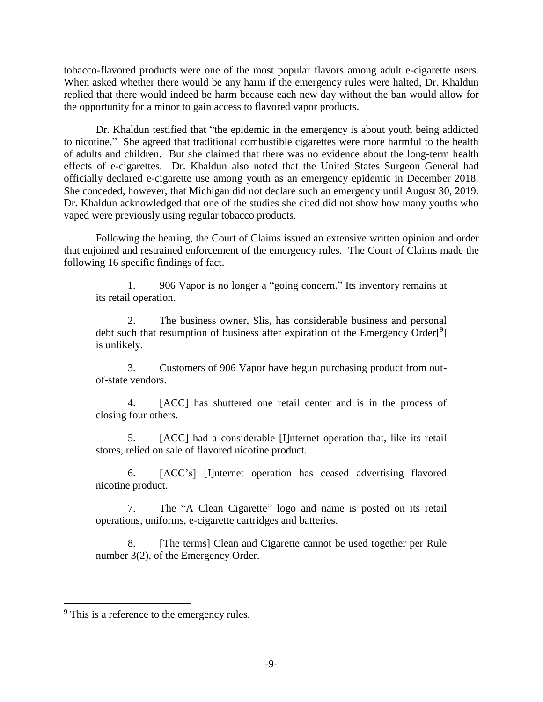tobacco-flavored products were one of the most popular flavors among adult e-cigarette users. When asked whether there would be any harm if the emergency rules were halted, Dr. Khaldun replied that there would indeed be harm because each new day without the ban would allow for the opportunity for a minor to gain access to flavored vapor products.

Dr. Khaldun testified that "the epidemic in the emergency is about youth being addicted to nicotine." She agreed that traditional combustible cigarettes were more harmful to the health of adults and children. But she claimed that there was no evidence about the long-term health effects of e-cigarettes. Dr. Khaldun also noted that the United States Surgeon General had officially declared e-cigarette use among youth as an emergency epidemic in December 2018. She conceded, however, that Michigan did not declare such an emergency until August 30, 2019. Dr. Khaldun acknowledged that one of the studies she cited did not show how many youths who vaped were previously using regular tobacco products.

Following the hearing, the Court of Claims issued an extensive written opinion and order that enjoined and restrained enforcement of the emergency rules. The Court of Claims made the following 16 specific findings of fact.

1. 906 Vapor is no longer a "going concern." Its inventory remains at its retail operation.

2. The business owner, Slis, has considerable business and personal debt such that resumption of business after expiration of the Emergency Order<sup>[9</sup>] is unlikely.

3. Customers of 906 Vapor have begun purchasing product from outof-state vendors.

4. [ACC] has shuttered one retail center and is in the process of closing four others.

5. [ACC] had a considerable [I]nternet operation that, like its retail stores, relied on sale of flavored nicotine product.

6. [ACC's] [I]nternet operation has ceased advertising flavored nicotine product.

7. The "A Clean Cigarette" logo and name is posted on its retail operations, uniforms, e-cigarette cartridges and batteries.

8. [The terms] Clean and Cigarette cannot be used together per Rule number 3(2), of the Emergency Order.

<sup>&</sup>lt;sup>9</sup> This is a reference to the emergency rules.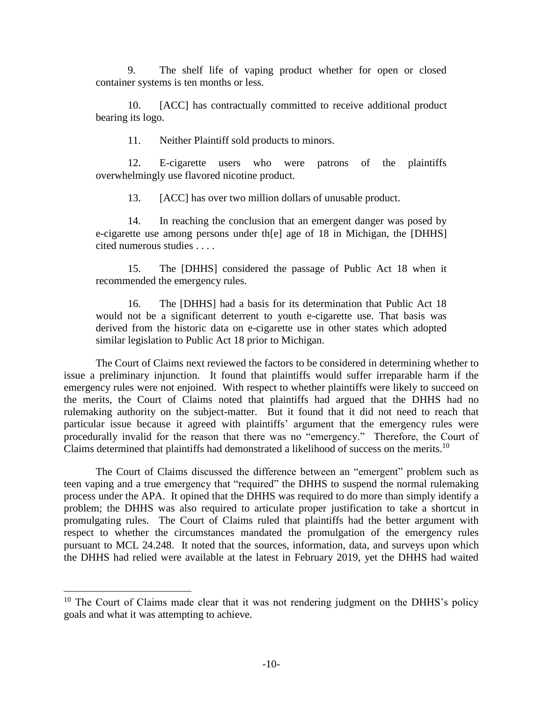9. The shelf life of vaping product whether for open or closed container systems is ten months or less.

10. [ACC] has contractually committed to receive additional product bearing its logo.

11. Neither Plaintiff sold products to minors.

12. E-cigarette users who were patrons of the plaintiffs overwhelmingly use flavored nicotine product.

13. [ACC] has over two million dollars of unusable product.

14. In reaching the conclusion that an emergent danger was posed by e-cigarette use among persons under th[e] age of 18 in Michigan, the [DHHS] cited numerous studies . . . .

15. The [DHHS] considered the passage of Public Act 18 when it recommended the emergency rules.

16. The [DHHS] had a basis for its determination that Public Act 18 would not be a significant deterrent to youth e-cigarette use. That basis was derived from the historic data on e-cigarette use in other states which adopted similar legislation to Public Act 18 prior to Michigan.

The Court of Claims next reviewed the factors to be considered in determining whether to issue a preliminary injunction. It found that plaintiffs would suffer irreparable harm if the emergency rules were not enjoined. With respect to whether plaintiffs were likely to succeed on the merits, the Court of Claims noted that plaintiffs had argued that the DHHS had no rulemaking authority on the subject-matter. But it found that it did not need to reach that particular issue because it agreed with plaintiffs' argument that the emergency rules were procedurally invalid for the reason that there was no "emergency." Therefore, the Court of Claims determined that plaintiffs had demonstrated a likelihood of success on the merits.<sup>10</sup>

The Court of Claims discussed the difference between an "emergent" problem such as teen vaping and a true emergency that "required" the DHHS to suspend the normal rulemaking process under the APA. It opined that the DHHS was required to do more than simply identify a problem; the DHHS was also required to articulate proper justification to take a shortcut in promulgating rules. The Court of Claims ruled that plaintiffs had the better argument with respect to whether the circumstances mandated the promulgation of the emergency rules pursuant to MCL 24.248. It noted that the sources, information, data, and surveys upon which the DHHS had relied were available at the latest in February 2019, yet the DHHS had waited

<sup>&</sup>lt;sup>10</sup> The Court of Claims made clear that it was not rendering judgment on the DHHS's policy goals and what it was attempting to achieve.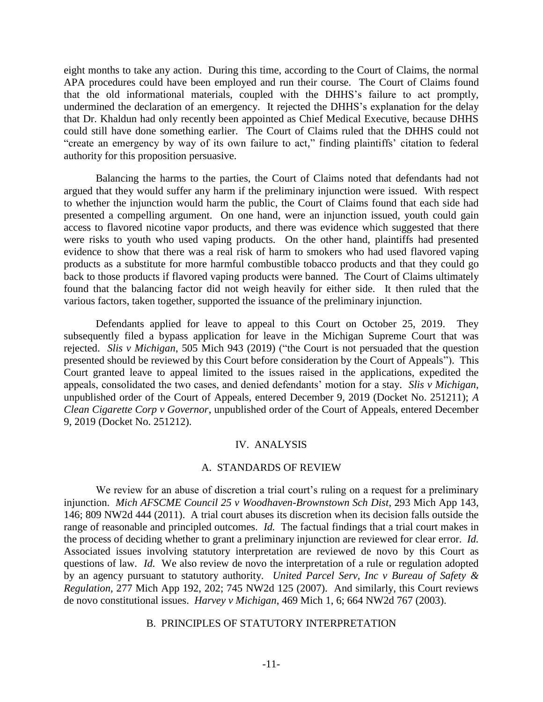eight months to take any action. During this time, according to the Court of Claims, the normal APA procedures could have been employed and run their course. The Court of Claims found that the old informational materials, coupled with the DHHS's failure to act promptly, undermined the declaration of an emergency. It rejected the DHHS's explanation for the delay that Dr. Khaldun had only recently been appointed as Chief Medical Executive, because DHHS could still have done something earlier. The Court of Claims ruled that the DHHS could not "create an emergency by way of its own failure to act," finding plaintiffs' citation to federal authority for this proposition persuasive.

Balancing the harms to the parties, the Court of Claims noted that defendants had not argued that they would suffer any harm if the preliminary injunction were issued. With respect to whether the injunction would harm the public, the Court of Claims found that each side had presented a compelling argument. On one hand, were an injunction issued, youth could gain access to flavored nicotine vapor products, and there was evidence which suggested that there were risks to youth who used vaping products. On the other hand, plaintiffs had presented evidence to show that there was a real risk of harm to smokers who had used flavored vaping products as a substitute for more harmful combustible tobacco products and that they could go back to those products if flavored vaping products were banned. The Court of Claims ultimately found that the balancing factor did not weigh heavily for either side. It then ruled that the various factors, taken together, supported the issuance of the preliminary injunction.

Defendants applied for leave to appeal to this Court on October 25, 2019. They subsequently filed a bypass application for leave in the Michigan Supreme Court that was rejected. *Slis v Michigan*, 505 Mich 943 (2019) ("the Court is not persuaded that the question presented should be reviewed by this Court before consideration by the Court of Appeals"). This Court granted leave to appeal limited to the issues raised in the applications, expedited the appeals, consolidated the two cases, and denied defendants' motion for a stay. *Slis v Michigan*, unpublished order of the Court of Appeals, entered December 9, 2019 (Docket No. 251211); *A Clean Cigarette Corp v Governor*, unpublished order of the Court of Appeals, entered December 9, 2019 (Docket No. 251212).

#### IV. ANALYSIS

#### A. STANDARDS OF REVIEW

We review for an abuse of discretion a trial court's ruling on a request for a preliminary injunction. *Mich AFSCME Council 25 v Woodhaven-Brownstown Sch Dist*, 293 Mich App 143, 146; 809 NW2d 444 (2011). A trial court abuses its discretion when its decision falls outside the range of reasonable and principled outcomes. *Id.* The factual findings that a trial court makes in the process of deciding whether to grant a preliminary injunction are reviewed for clear error. *Id.*  Associated issues involving statutory interpretation are reviewed de novo by this Court as questions of law. *Id.* We also review de novo the interpretation of a rule or regulation adopted by an agency pursuant to statutory authority. *United Parcel Serv, Inc v Bureau of Safety & Regulation*, 277 Mich App 192, 202; 745 NW2d 125 (2007). And similarly, this Court reviews de novo constitutional issues. *Harvey v Michigan*, 469 Mich 1, 6; 664 NW2d 767 (2003).

#### B. PRINCIPLES OF STATUTORY INTERPRETATION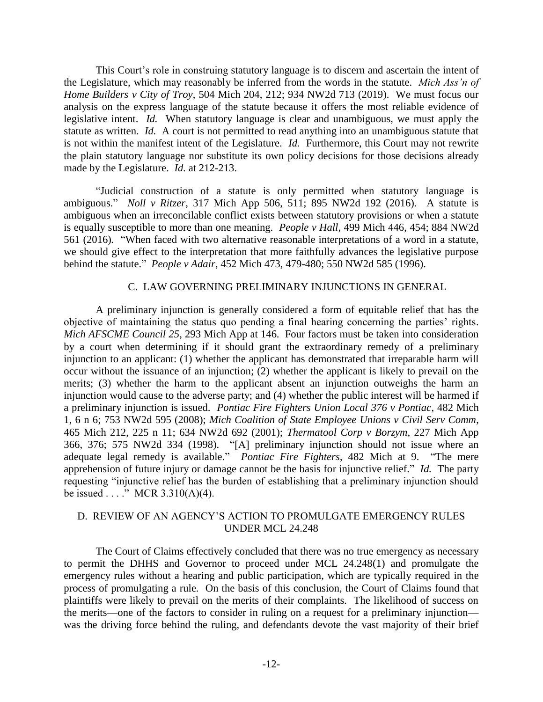This Court's role in construing statutory language is to discern and ascertain the intent of the Legislature, which may reasonably be inferred from the words in the statute. *Mich Ass'n of Home Builders v City of Troy*, 504 Mich 204, 212; 934 NW2d 713 (2019). We must focus our analysis on the express language of the statute because it offers the most reliable evidence of legislative intent. *Id.* When statutory language is clear and unambiguous, we must apply the statute as written. *Id.* A court is not permitted to read anything into an unambiguous statute that is not within the manifest intent of the Legislature. *Id.* Furthermore, this Court may not rewrite the plain statutory language nor substitute its own policy decisions for those decisions already made by the Legislature. *Id.* at 212-213.

"Judicial construction of a statute is only permitted when statutory language is ambiguous." *Noll v Ritzer*, 317 Mich App 506, 511; 895 NW2d 192 (2016). A statute is ambiguous when an irreconcilable conflict exists between statutory provisions or when a statute is equally susceptible to more than one meaning. *People v Hall*, 499 Mich 446, 454; 884 NW2d 561 (2016)*.* "When faced with two alternative reasonable interpretations of a word in a statute, we should give effect to the interpretation that more faithfully advances the legislative purpose behind the statute." *People v Adair*, 452 Mich 473, 479-480; 550 NW2d 585 (1996).

### C. LAW GOVERNING PRELIMINARY INJUNCTIONS IN GENERAL

A preliminary injunction is generally considered a form of equitable relief that has the objective of maintaining the status quo pending a final hearing concerning the parties' rights. *Mich AFSCME Council 25*, 293 Mich App at 146. Four factors must be taken into consideration by a court when determining if it should grant the extraordinary remedy of a preliminary injunction to an applicant: (1) whether the applicant has demonstrated that irreparable harm will occur without the issuance of an injunction; (2) whether the applicant is likely to prevail on the merits; (3) whether the harm to the applicant absent an injunction outweighs the harm an injunction would cause to the adverse party; and (4) whether the public interest will be harmed if a preliminary injunction is issued. *Pontiac Fire Fighters Union Local 376 v Pontiac*, 482 Mich 1, 6 n 6; 753 NW2d 595 (2008); *Mich Coalition of State Employee Unions v Civil Serv Comm*, 465 Mich 212, 225 n 11; 634 NW2d 692 (2001); *Thermatool Corp v Borzym*, 227 Mich App 366, 376; 575 NW2d 334 (1998). "[A] preliminary injunction should not issue where an adequate legal remedy is available." *Pontiac Fire Fighters*, 482 Mich at 9. "The mere apprehension of future injury or damage cannot be the basis for injunctive relief." *Id.* The party requesting "injunctive relief has the burden of establishing that a preliminary injunction should be issued . . . . . MCR 3.310(A)(4).

#### D. REVIEW OF AN AGENCY'S ACTION TO PROMULGATE EMERGENCY RULES UNDER MCL 24.248

The Court of Claims effectively concluded that there was no true emergency as necessary to permit the DHHS and Governor to proceed under MCL 24.248(1) and promulgate the emergency rules without a hearing and public participation, which are typically required in the process of promulgating a rule. On the basis of this conclusion, the Court of Claims found that plaintiffs were likely to prevail on the merits of their complaints. The likelihood of success on the merits—one of the factors to consider in ruling on a request for a preliminary injunction was the driving force behind the ruling, and defendants devote the vast majority of their brief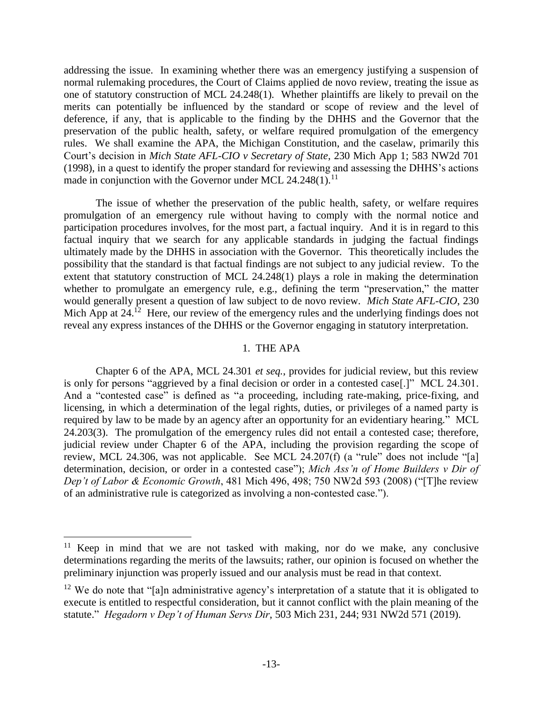addressing the issue. In examining whether there was an emergency justifying a suspension of normal rulemaking procedures, the Court of Claims applied de novo review, treating the issue as one of statutory construction of MCL 24.248(1). Whether plaintiffs are likely to prevail on the merits can potentially be influenced by the standard or scope of review and the level of deference, if any, that is applicable to the finding by the DHHS and the Governor that the preservation of the public health, safety, or welfare required promulgation of the emergency rules. We shall examine the APA, the Michigan Constitution, and the caselaw, primarily this Court's decision in *Mich State AFL-CIO v Secretary of State*, 230 Mich App 1; 583 NW2d 701 (1998), in a quest to identify the proper standard for reviewing and assessing the DHHS's actions made in conjunction with the Governor under MCL  $24.248(1)$ .<sup>11</sup>

The issue of whether the preservation of the public health, safety, or welfare requires promulgation of an emergency rule without having to comply with the normal notice and participation procedures involves, for the most part, a factual inquiry. And it is in regard to this factual inquiry that we search for any applicable standards in judging the factual findings ultimately made by the DHHS in association with the Governor. This theoretically includes the possibility that the standard is that factual findings are not subject to any judicial review. To the extent that statutory construction of MCL 24.248(1) plays a role in making the determination whether to promulgate an emergency rule, e.g., defining the term "preservation," the matter would generally present a question of law subject to de novo review. *Mich State AFL-CIO*, 230 Mich App at  $24<sup>12</sup>$  Here, our review of the emergency rules and the underlying findings does not reveal any express instances of the DHHS or the Governor engaging in statutory interpretation.

#### 1. THE APA

Chapter 6 of the APA, MCL 24.301 *et seq.*, provides for judicial review, but this review is only for persons "aggrieved by a final decision or order in a contested case[.]" MCL 24.301. And a "contested case" is defined as "a proceeding, including rate-making, price-fixing, and licensing, in which a determination of the legal rights, duties, or privileges of a named party is required by law to be made by an agency after an opportunity for an evidentiary hearing." MCL 24.203(3). The promulgation of the emergency rules did not entail a contested case; therefore, judicial review under Chapter 6 of the APA, including the provision regarding the scope of review, MCL 24.306, was not applicable. See MCL 24.207(f) (a "rule" does not include "[a] determination, decision, or order in a contested case"); *Mich Ass'n of Home Builders v Dir of Dep't of Labor & Economic Growth*, 481 Mich 496, 498; 750 NW2d 593 (2008) ("[T]he review of an administrative rule is categorized as involving a non-contested case.").

 $11$  Keep in mind that we are not tasked with making, nor do we make, any conclusive determinations regarding the merits of the lawsuits; rather, our opinion is focused on whether the preliminary injunction was properly issued and our analysis must be read in that context.

 $12$  We do note that "[a]n administrative agency's interpretation of a statute that it is obligated to execute is entitled to respectful consideration, but it cannot conflict with the plain meaning of the statute." *Hegadorn v Dep't of Human Servs Dir*, 503 Mich 231, 244; 931 NW2d 571 (2019).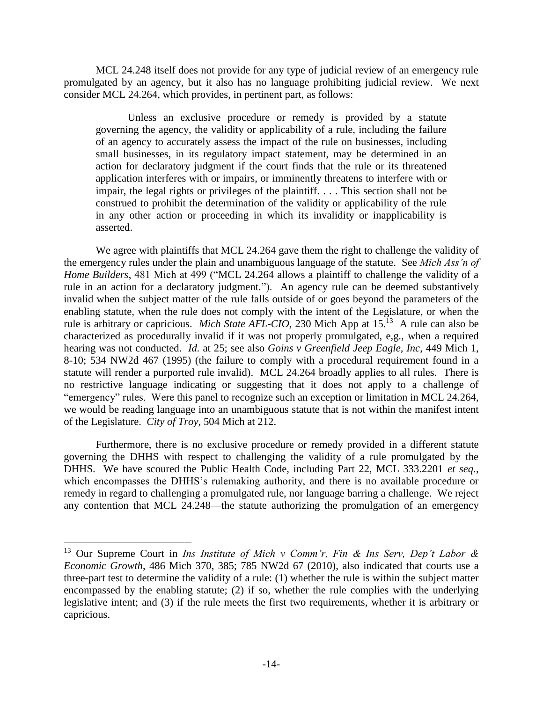MCL 24.248 itself does not provide for any type of judicial review of an emergency rule promulgated by an agency, but it also has no language prohibiting judicial review. We next consider MCL 24.264, which provides, in pertinent part, as follows:

Unless an exclusive procedure or remedy is provided by a statute governing the agency, the validity or applicability of a rule, including the failure of an agency to accurately assess the impact of the rule on businesses, including small businesses, in its regulatory impact statement, may be determined in an action for declaratory judgment if the court finds that the rule or its threatened application interferes with or impairs, or imminently threatens to interfere with or impair, the legal rights or privileges of the plaintiff. . . . This section shall not be construed to prohibit the determination of the validity or applicability of the rule in any other action or proceeding in which its invalidity or inapplicability is asserted.

We agree with plaintiffs that MCL 24.264 gave them the right to challenge the validity of the emergency rules under the plain and unambiguous language of the statute. See *Mich Ass'n of Home Builders*, 481 Mich at 499 ("MCL 24.264 allows a plaintiff to challenge the validity of a rule in an action for a declaratory judgment."). An agency rule can be deemed substantively invalid when the subject matter of the rule falls outside of or goes beyond the parameters of the enabling statute, when the rule does not comply with the intent of the Legislature, or when the rule is arbitrary or capricious. *Mich State AFL-CIO*, 230 Mich App at 15.<sup>13</sup> A rule can also be characterized as procedurally invalid if it was not properly promulgated, e,g., when a required hearing was not conducted. *Id.* at 25; see also *Goins v Greenfield Jeep Eagle, Inc*, 449 Mich 1, 8-10; 534 NW2d 467 (1995) (the failure to comply with a procedural requirement found in a statute will render a purported rule invalid). MCL 24.264 broadly applies to all rules. There is no restrictive language indicating or suggesting that it does not apply to a challenge of "emergency" rules. Were this panel to recognize such an exception or limitation in MCL 24.264, we would be reading language into an unambiguous statute that is not within the manifest intent of the Legislature. *City of Troy*, 504 Mich at 212.

Furthermore, there is no exclusive procedure or remedy provided in a different statute governing the DHHS with respect to challenging the validity of a rule promulgated by the DHHS. We have scoured the Public Health Code, including Part 22, MCL 333.2201 *et seq.*, which encompasses the DHHS's rulemaking authority, and there is no available procedure or remedy in regard to challenging a promulgated rule, nor language barring a challenge. We reject any contention that MCL 24.248—the statute authorizing the promulgation of an emergency

<sup>13</sup> Our Supreme Court in *Ins Institute of Mich v Comm'r, Fin & Ins Serv, Dep't Labor & Economic Growth*, 486 Mich 370, 385; 785 NW2d 67 (2010), also indicated that courts use a three-part test to determine the validity of a rule: (1) whether the rule is within the subject matter encompassed by the enabling statute; (2) if so, whether the rule complies with the underlying legislative intent; and (3) if the rule meets the first two requirements, whether it is arbitrary or capricious.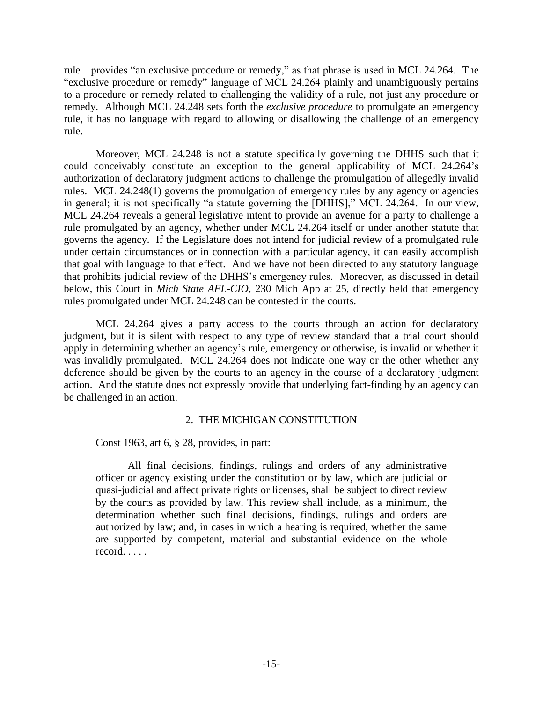rule—provides "an exclusive procedure or remedy," as that phrase is used in MCL 24.264. The "exclusive procedure or remedy" language of MCL 24.264 plainly and unambiguously pertains to a procedure or remedy related to challenging the validity of a rule, not just any procedure or remedy. Although MCL 24.248 sets forth the *exclusive procedure* to promulgate an emergency rule, it has no language with regard to allowing or disallowing the challenge of an emergency rule.

Moreover, MCL 24.248 is not a statute specifically governing the DHHS such that it could conceivably constitute an exception to the general applicability of MCL 24.264's authorization of declaratory judgment actions to challenge the promulgation of allegedly invalid rules. MCL 24.248(1) governs the promulgation of emergency rules by any agency or agencies in general; it is not specifically "a statute governing the [DHHS]," MCL 24.264. In our view, MCL 24.264 reveals a general legislative intent to provide an avenue for a party to challenge a rule promulgated by an agency, whether under MCL 24.264 itself or under another statute that governs the agency. If the Legislature does not intend for judicial review of a promulgated rule under certain circumstances or in connection with a particular agency, it can easily accomplish that goal with language to that effect. And we have not been directed to any statutory language that prohibits judicial review of the DHHS's emergency rules. Moreover, as discussed in detail below, this Court in *Mich State AFL-CIO*, 230 Mich App at 25, directly held that emergency rules promulgated under MCL 24.248 can be contested in the courts.

MCL 24.264 gives a party access to the courts through an action for declaratory judgment, but it is silent with respect to any type of review standard that a trial court should apply in determining whether an agency's rule, emergency or otherwise, is invalid or whether it was invalidly promulgated. MCL 24.264 does not indicate one way or the other whether any deference should be given by the courts to an agency in the course of a declaratory judgment action. And the statute does not expressly provide that underlying fact-finding by an agency can be challenged in an action.

### 2. THE MICHIGAN CONSTITUTION

Const 1963, art 6, § 28, provides, in part:

All final decisions, findings, rulings and orders of any administrative officer or agency existing under the constitution or by law, which are judicial or quasi-judicial and affect private rights or licenses, shall be subject to direct review by the courts as provided by law. This review shall include, as a minimum, the determination whether such final decisions, findings, rulings and orders are authorized by law; and, in cases in which a hearing is required, whether the same are supported by competent, material and substantial evidence on the whole record. . . . .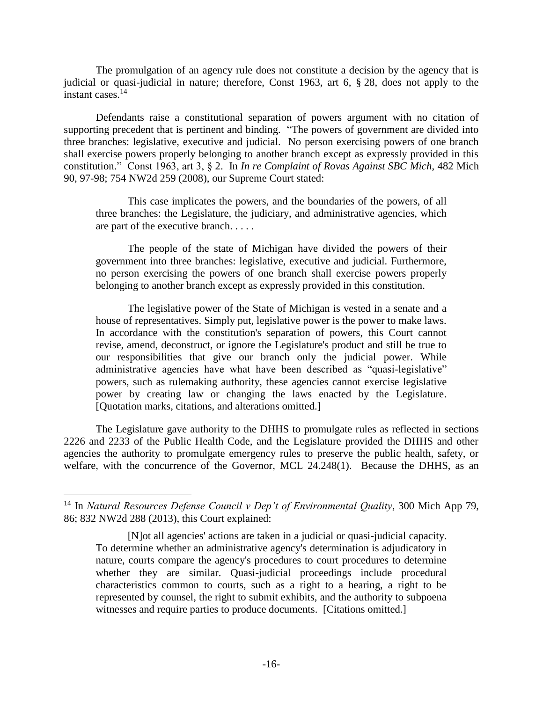The promulgation of an agency rule does not constitute a decision by the agency that is judicial or quasi-judicial in nature; therefore, Const 1963, art 6, § 28, does not apply to the instant cases.<sup>14</sup>

Defendants raise a constitutional separation of powers argument with no citation of supporting precedent that is pertinent and binding. "The powers of government are divided into three branches: legislative, executive and judicial. No person exercising powers of one branch shall exercise powers properly belonging to another branch except as expressly provided in this constitution." Const 1963, art 3, § 2. In *In re Complaint of Rovas Against SBC Mich*, 482 Mich 90, 97-98; 754 NW2d 259 (2008), our Supreme Court stated:

This case implicates the powers, and the boundaries of the powers, of all three branches: the Legislature, the judiciary, and administrative agencies, which are part of the executive branch. . . . .

The people of the state of Michigan have divided the powers of their government into three branches: legislative, executive and judicial. Furthermore, no person exercising the powers of one branch shall exercise powers properly belonging to another branch except as expressly provided in this constitution.

The legislative power of the State of Michigan is vested in a senate and a house of representatives. Simply put, legislative power is the power to make laws. In accordance with the constitution's separation of powers, this Court cannot revise, amend, deconstruct, or ignore the Legislature's product and still be true to our responsibilities that give our branch only the judicial power. While administrative agencies have what have been described as "quasi-legislative" powers, such as rulemaking authority, these agencies cannot exercise legislative power by creating law or changing the laws enacted by the Legislature. [Quotation marks, citations, and alterations omitted.]

The Legislature gave authority to the DHHS to promulgate rules as reflected in sections 2226 and 2233 of the Public Health Code, and the Legislature provided the DHHS and other agencies the authority to promulgate emergency rules to preserve the public health, safety, or welfare, with the concurrence of the Governor, MCL 24.248(1). Because the DHHS, as an

<sup>14</sup> In *Natural Resources Defense Council v Dep't of Environmental Quality*, 300 Mich App 79, 86; 832 NW2d 288 (2013), this Court explained:

<sup>[</sup>N]ot all agencies' actions are taken in a judicial or quasi-judicial capacity. To determine whether an administrative agency's determination is adjudicatory in nature, courts compare the agency's procedures to court procedures to determine whether they are similar. Quasi-judicial proceedings include procedural characteristics common to courts, such as a right to a hearing, a right to be represented by counsel, the right to submit exhibits, and the authority to subpoena witnesses and require parties to produce documents. [Citations omitted.]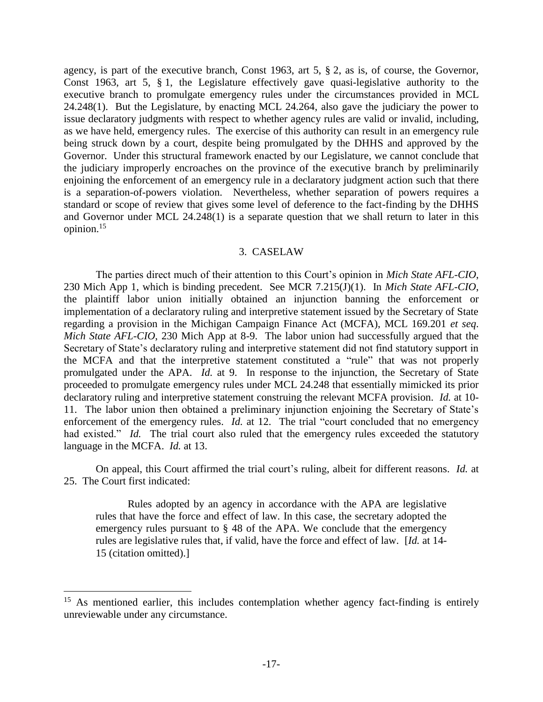agency, is part of the executive branch, Const 1963, art 5, § 2, as is, of course, the Governor, Const 1963, art 5, § 1, the Legislature effectively gave quasi-legislative authority to the executive branch to promulgate emergency rules under the circumstances provided in MCL 24.248(1). But the Legislature, by enacting MCL 24.264, also gave the judiciary the power to issue declaratory judgments with respect to whether agency rules are valid or invalid, including, as we have held, emergency rules. The exercise of this authority can result in an emergency rule being struck down by a court, despite being promulgated by the DHHS and approved by the Governor. Under this structural framework enacted by our Legislature, we cannot conclude that the judiciary improperly encroaches on the province of the executive branch by preliminarily enjoining the enforcement of an emergency rule in a declaratory judgment action such that there is a separation-of-powers violation. Nevertheless, whether separation of powers requires a standard or scope of review that gives some level of deference to the fact-finding by the DHHS and Governor under MCL 24.248(1) is a separate question that we shall return to later in this opinion.<sup>15</sup>

#### 3. CASELAW

The parties direct much of their attention to this Court's opinion in *Mich State AFL-CIO*, 230 Mich App 1, which is binding precedent. See MCR 7.215(J)(1). In *Mich State AFL-CIO*, the plaintiff labor union initially obtained an injunction banning the enforcement or implementation of a declaratory ruling and interpretive statement issued by the Secretary of State regarding a provision in the Michigan Campaign Finance Act (MCFA), MCL 169.201 *et seq*. *Mich State AFL-CIO*, 230 Mich App at 8-9. The labor union had successfully argued that the Secretary of State's declaratory ruling and interpretive statement did not find statutory support in the MCFA and that the interpretive statement constituted a "rule" that was not properly promulgated under the APA. *Id.* at 9. In response to the injunction, the Secretary of State proceeded to promulgate emergency rules under MCL 24.248 that essentially mimicked its prior declaratory ruling and interpretive statement construing the relevant MCFA provision. *Id.* at 10- 11. The labor union then obtained a preliminary injunction enjoining the Secretary of State's enforcement of the emergency rules. *Id.* at 12. The trial "court concluded that no emergency had existed." *Id.* The trial court also ruled that the emergency rules exceeded the statutory language in the MCFA. *Id.* at 13.

On appeal, this Court affirmed the trial court's ruling, albeit for different reasons. *Id.* at 25. The Court first indicated:

Rules adopted by an agency in accordance with the APA are legislative rules that have the force and effect of law. In this case, the secretary adopted the emergency rules pursuant to  $\S$  48 of the APA. We conclude that the emergency rules are legislative rules that, if valid, have the force and effect of law. [*Id.* at 14- 15 (citation omitted).]

 $15$  As mentioned earlier, this includes contemplation whether agency fact-finding is entirely unreviewable under any circumstance.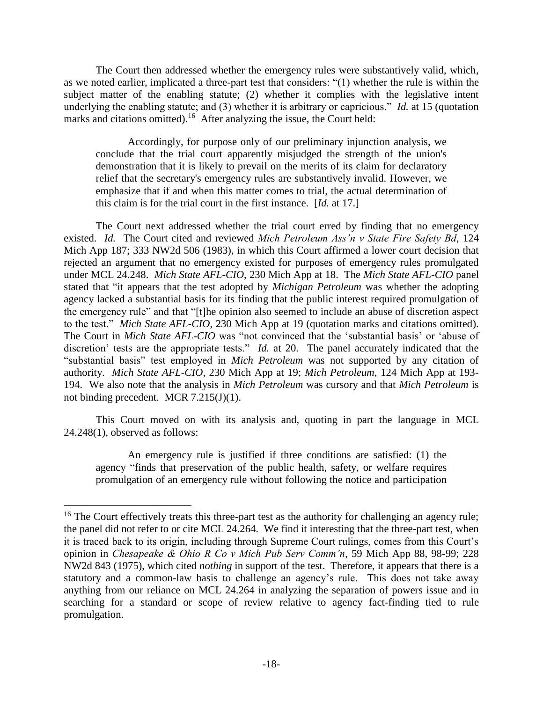The Court then addressed whether the emergency rules were substantively valid, which, as we noted earlier, implicated a three-part test that considers: "(1) whether the rule is within the subject matter of the enabling statute; (2) whether it complies with the legislative intent underlying the enabling statute; and (3) whether it is arbitrary or capricious." *Id.* at 15 (quotation marks and citations omitted).<sup>16</sup> After analyzing the issue, the Court held:

Accordingly, for purpose only of our preliminary injunction analysis, we conclude that the trial court apparently misjudged the strength of the union's demonstration that it is likely to prevail on the merits of its claim for declaratory relief that the secretary's emergency rules are substantively invalid. However, we emphasize that if and when this matter comes to trial, the actual determination of this claim is for the trial court in the first instance. [*Id.* at 17.]

The Court next addressed whether the trial court erred by finding that no emergency existed. *Id.* The Court cited and reviewed *Mich Petroleum Ass'n v State Fire Safety Bd*, 124 Mich App 187; 333 NW2d 506 (1983), in which this Court affirmed a lower court decision that rejected an argument that no emergency existed for purposes of emergency rules promulgated under MCL 24.248. *Mich State AFL-CIO*, 230 Mich App at 18. The *Mich State AFL-CIO* panel stated that "it appears that the test adopted by *Michigan Petroleum* was whether the adopting agency lacked a substantial basis for its finding that the public interest required promulgation of the emergency rule" and that "[t]he opinion also seemed to include an abuse of discretion aspect to the test." *Mich State AFL-CIO*, 230 Mich App at 19 (quotation marks and citations omitted). The Court in *Mich State AFL-CIO* was "not convinced that the 'substantial basis' or 'abuse of discretion' tests are the appropriate tests." *Id.* at 20. The panel accurately indicated that the "substantial basis" test employed in *Mich Petroleum* was not supported by any citation of authority. *Mich State AFL-CIO*, 230 Mich App at 19; *Mich Petroleum*, 124 Mich App at 193- 194. We also note that the analysis in *Mich Petroleum* was cursory and that *Mich Petroleum* is not binding precedent. MCR 7.215(J)(1).

This Court moved on with its analysis and, quoting in part the language in MCL 24.248(1), observed as follows:

An emergency rule is justified if three conditions are satisfied: (1) the agency "finds that preservation of the public health, safety, or welfare requires promulgation of an emergency rule without following the notice and participation

<sup>&</sup>lt;sup>16</sup> The Court effectively treats this three-part test as the authority for challenging an agency rule; the panel did not refer to or cite MCL 24.264. We find it interesting that the three-part test, when it is traced back to its origin, including through Supreme Court rulings, comes from this Court's opinion in *Chesapeake & Ohio R Co v Mich Pub Serv Comm'n*, 59 Mich App 88, 98-99; 228 NW2d 843 (1975), which cited *nothing* in support of the test. Therefore, it appears that there is a statutory and a common-law basis to challenge an agency's rule. This does not take away anything from our reliance on MCL 24.264 in analyzing the separation of powers issue and in searching for a standard or scope of review relative to agency fact-finding tied to rule promulgation.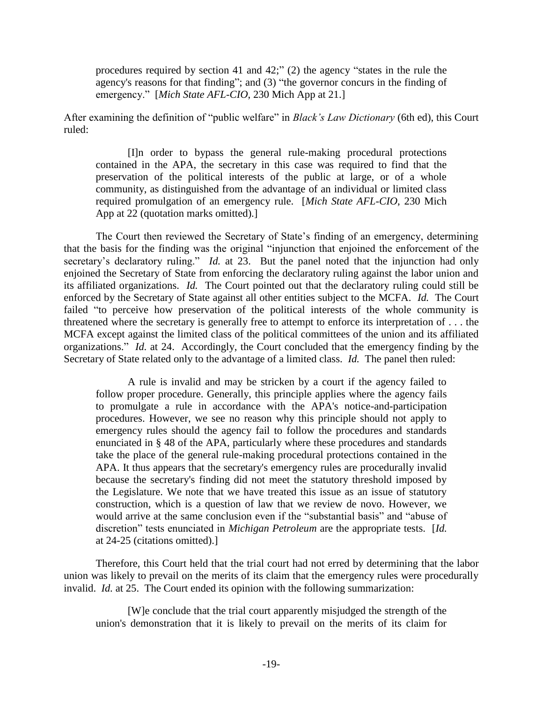procedures required by section 41 and 42;" (2) the agency "states in the rule the agency's reasons for that finding"; and (3) "the governor concurs in the finding of emergency." [*Mich State AFL-CIO*, 230 Mich App at 21.]

After examining the definition of "public welfare" in *Black's Law Dictionary* (6th ed), this Court ruled:

[I]n order to bypass the general rule-making procedural protections contained in the APA, the secretary in this case was required to find that the preservation of the political interests of the public at large, or of a whole community, as distinguished from the advantage of an individual or limited class required promulgation of an emergency rule. [*Mich State AFL-CIO*, 230 Mich App at 22 (quotation marks omitted).]

The Court then reviewed the Secretary of State's finding of an emergency, determining that the basis for the finding was the original "injunction that enjoined the enforcement of the secretary's declaratory ruling." *Id.* at 23. But the panel noted that the injunction had only enjoined the Secretary of State from enforcing the declaratory ruling against the labor union and its affiliated organizations. *Id.* The Court pointed out that the declaratory ruling could still be enforced by the Secretary of State against all other entities subject to the MCFA. *Id.* The Court failed "to perceive how preservation of the political interests of the whole community is threatened where the secretary is generally free to attempt to enforce its interpretation of . . . the MCFA except against the limited class of the political committees of the union and its affiliated organizations." *Id.* at 24. Accordingly, the Court concluded that the emergency finding by the Secretary of State related only to the advantage of a limited class. *Id.* The panel then ruled:

A rule is invalid and may be stricken by a court if the agency failed to follow proper procedure. Generally, this principle applies where the agency fails to promulgate a rule in accordance with the APA's notice-and-participation procedures. However, we see no reason why this principle should not apply to emergency rules should the agency fail to follow the procedures and standards enunciated in § 48 of the APA, particularly where these procedures and standards take the place of the general rule-making procedural protections contained in the APA. It thus appears that the secretary's emergency rules are procedurally invalid because the secretary's finding did not meet the statutory threshold imposed by the Legislature. We note that we have treated this issue as an issue of statutory construction, which is a question of law that we review de novo. However, we would arrive at the same conclusion even if the "substantial basis" and "abuse of discretion" tests enunciated in *Michigan Petroleum* are the appropriate tests. [*Id.*  at 24-25 (citations omitted).]

Therefore, this Court held that the trial court had not erred by determining that the labor union was likely to prevail on the merits of its claim that the emergency rules were procedurally invalid. *Id.* at 25. The Court ended its opinion with the following summarization:

[W]e conclude that the trial court apparently misjudged the strength of the union's demonstration that it is likely to prevail on the merits of its claim for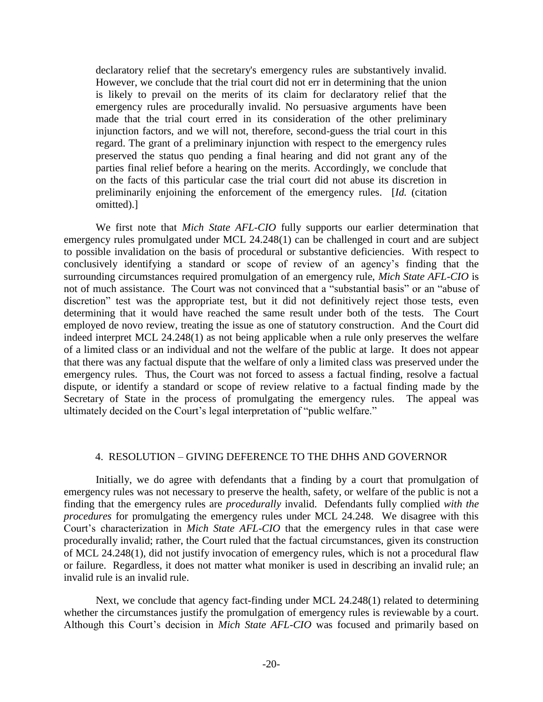declaratory relief that the secretary's emergency rules are substantively invalid. However, we conclude that the trial court did not err in determining that the union is likely to prevail on the merits of its claim for declaratory relief that the emergency rules are procedurally invalid. No persuasive arguments have been made that the trial court erred in its consideration of the other preliminary injunction factors, and we will not, therefore, second-guess the trial court in this regard. The grant of a preliminary injunction with respect to the emergency rules preserved the status quo pending a final hearing and did not grant any of the parties final relief before a hearing on the merits. Accordingly, we conclude that on the facts of this particular case the trial court did not abuse its discretion in preliminarily enjoining the enforcement of the emergency rules. [*Id.* (citation omitted).]

We first note that *Mich State AFL-CIO* fully supports our earlier determination that emergency rules promulgated under MCL 24.248(1) can be challenged in court and are subject to possible invalidation on the basis of procedural or substantive deficiencies. With respect to conclusively identifying a standard or scope of review of an agency's finding that the surrounding circumstances required promulgation of an emergency rule, *Mich State AFL-CIO* is not of much assistance. The Court was not convinced that a "substantial basis" or an "abuse of discretion" test was the appropriate test, but it did not definitively reject those tests, even determining that it would have reached the same result under both of the tests. The Court employed de novo review, treating the issue as one of statutory construction. And the Court did indeed interpret MCL 24.248(1) as not being applicable when a rule only preserves the welfare of a limited class or an individual and not the welfare of the public at large. It does not appear that there was any factual dispute that the welfare of only a limited class was preserved under the emergency rules. Thus, the Court was not forced to assess a factual finding, resolve a factual dispute, or identify a standard or scope of review relative to a factual finding made by the Secretary of State in the process of promulgating the emergency rules. The appeal was ultimately decided on the Court's legal interpretation of "public welfare."

### 4. RESOLUTION – GIVING DEFERENCE TO THE DHHS AND GOVERNOR

Initially, we do agree with defendants that a finding by a court that promulgation of emergency rules was not necessary to preserve the health, safety, or welfare of the public is not a finding that the emergency rules are *procedurally* invalid. Defendants fully complied *with the procedures* for promulgating the emergency rules under MCL 24.248. We disagree with this Court's characterization in *Mich State AFL-CIO* that the emergency rules in that case were procedurally invalid; rather, the Court ruled that the factual circumstances, given its construction of MCL 24.248(1), did not justify invocation of emergency rules, which is not a procedural flaw or failure. Regardless, it does not matter what moniker is used in describing an invalid rule; an invalid rule is an invalid rule.

Next, we conclude that agency fact-finding under MCL 24.248(1) related to determining whether the circumstances justify the promulgation of emergency rules is reviewable by a court. Although this Court's decision in *Mich State AFL-CIO* was focused and primarily based on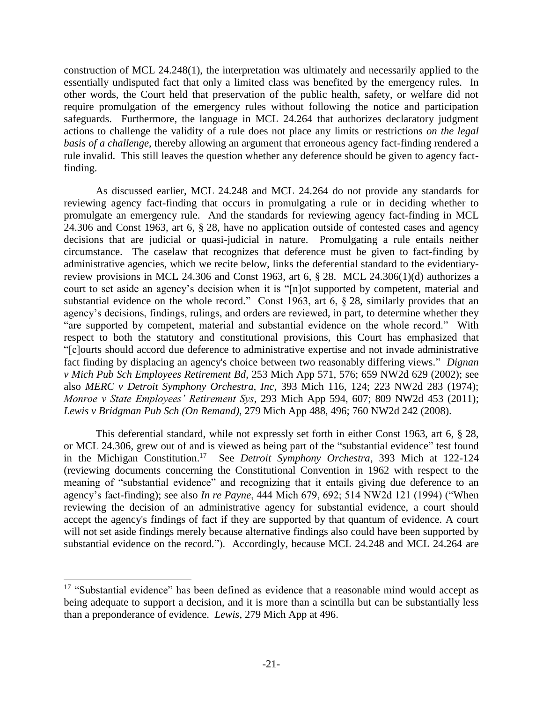construction of MCL 24.248(1), the interpretation was ultimately and necessarily applied to the essentially undisputed fact that only a limited class was benefited by the emergency rules. In other words, the Court held that preservation of the public health, safety, or welfare did not require promulgation of the emergency rules without following the notice and participation safeguards. Furthermore, the language in MCL 24.264 that authorizes declaratory judgment actions to challenge the validity of a rule does not place any limits or restrictions *on the legal basis of a challenge*, thereby allowing an argument that erroneous agency fact-finding rendered a rule invalid. This still leaves the question whether any deference should be given to agency factfinding.

As discussed earlier, MCL 24.248 and MCL 24.264 do not provide any standards for reviewing agency fact-finding that occurs in promulgating a rule or in deciding whether to promulgate an emergency rule. And the standards for reviewing agency fact-finding in MCL 24.306 and Const 1963, art 6, § 28, have no application outside of contested cases and agency decisions that are judicial or quasi-judicial in nature. Promulgating a rule entails neither circumstance. The caselaw that recognizes that deference must be given to fact-finding by administrative agencies, which we recite below, links the deferential standard to the evidentiaryreview provisions in MCL 24.306 and Const 1963, art 6, § 28. MCL 24.306(1)(d) authorizes a court to set aside an agency's decision when it is "[n]ot supported by competent, material and substantial evidence on the whole record." Const 1963, art 6, § 28, similarly provides that an agency's decisions, findings, rulings, and orders are reviewed, in part, to determine whether they "are supported by competent, material and substantial evidence on the whole record." With respect to both the statutory and constitutional provisions, this Court has emphasized that "[c]ourts should accord due deference to administrative expertise and not invade administrative fact finding by displacing an agency's choice between two reasonably differing views." *Dignan v Mich Pub Sch Employees Retirement Bd*, 253 Mich App 571, 576; 659 NW2d 629 (2002); see also *MERC v Detroit Symphony Orchestra, Inc*, 393 Mich 116, 124; 223 NW2d 283 (1974); *Monroe v State Employees' Retirement Sys*, 293 Mich App 594, 607; 809 NW2d 453 (2011); *Lewis v Bridgman Pub Sch (On Remand)*, 279 Mich App 488, 496; 760 NW2d 242 (2008).

This deferential standard, while not expressly set forth in either Const 1963, art 6, § 28, or MCL 24.306, grew out of and is viewed as being part of the "substantial evidence" test found in the Michigan Constitution. 17 See *Detroit Symphony Orchestra*, 393 Mich at 122-124 (reviewing documents concerning the Constitutional Convention in 1962 with respect to the meaning of "substantial evidence" and recognizing that it entails giving due deference to an agency's fact-finding); see also *In re Payne*, 444 Mich 679, 692; 514 NW2d 121 (1994) ("When reviewing the decision of an administrative agency for substantial evidence, a court should accept the agency's findings of fact if they are supported by that quantum of evidence. A court will not set aside findings merely because alternative findings also could have been supported by substantial evidence on the record."). Accordingly, because MCL 24.248 and MCL 24.264 are

 $17$  "Substantial evidence" has been defined as evidence that a reasonable mind would accept as being adequate to support a decision, and it is more than a scintilla but can be substantially less than a preponderance of evidence. *Lewis*, 279 Mich App at 496.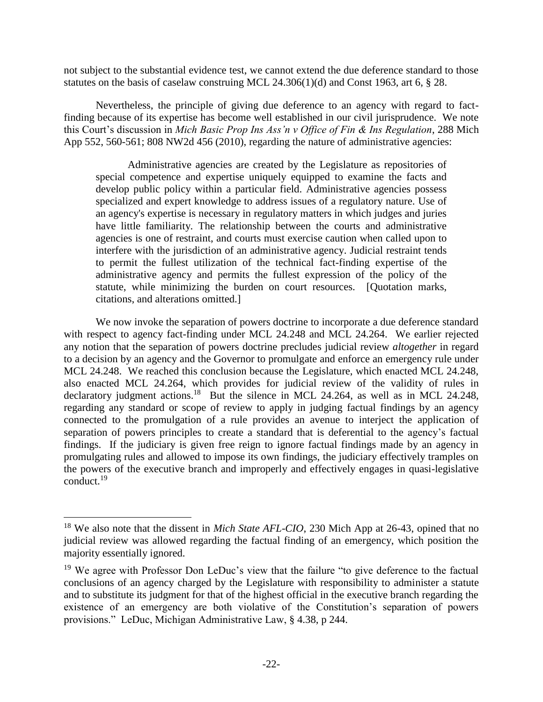not subject to the substantial evidence test, we cannot extend the due deference standard to those statutes on the basis of caselaw construing MCL 24.306(1)(d) and Const 1963, art 6, § 28.

Nevertheless, the principle of giving due deference to an agency with regard to factfinding because of its expertise has become well established in our civil jurisprudence. We note this Court's discussion in *Mich Basic Prop Ins Ass'n v Office of Fin & Ins Regulation*, 288 Mich App 552, 560-561; 808 NW2d 456 (2010), regarding the nature of administrative agencies:

Administrative agencies are created by the Legislature as repositories of special competence and expertise uniquely equipped to examine the facts and develop public policy within a particular field. Administrative agencies possess specialized and expert knowledge to address issues of a regulatory nature. Use of an agency's expertise is necessary in regulatory matters in which judges and juries have little familiarity. The relationship between the courts and administrative agencies is one of restraint, and courts must exercise caution when called upon to interfere with the jurisdiction of an administrative agency. Judicial restraint tends to permit the fullest utilization of the technical fact-finding expertise of the administrative agency and permits the fullest expression of the policy of the statute, while minimizing the burden on court resources. [Quotation marks, citations, and alterations omitted.]

We now invoke the separation of powers doctrine to incorporate a due deference standard with respect to agency fact-finding under MCL 24.248 and MCL 24.264. We earlier rejected any notion that the separation of powers doctrine precludes judicial review *altogether* in regard to a decision by an agency and the Governor to promulgate and enforce an emergency rule under MCL 24.248. We reached this conclusion because the Legislature, which enacted MCL 24.248, also enacted MCL 24.264, which provides for judicial review of the validity of rules in declaratory judgment actions.<sup>18</sup> But the silence in MCL 24.264, as well as in MCL 24.248, regarding any standard or scope of review to apply in judging factual findings by an agency connected to the promulgation of a rule provides an avenue to interject the application of separation of powers principles to create a standard that is deferential to the agency's factual findings. If the judiciary is given free reign to ignore factual findings made by an agency in promulgating rules and allowed to impose its own findings, the judiciary effectively tramples on the powers of the executive branch and improperly and effectively engages in quasi-legislative conduct.<sup>19</sup>

<sup>&</sup>lt;sup>18</sup> We also note that the dissent in *Mich State AFL-CIO*, 230 Mich App at 26-43, opined that no judicial review was allowed regarding the factual finding of an emergency, which position the majority essentially ignored.

<sup>&</sup>lt;sup>19</sup> We agree with Professor Don LeDuc's view that the failure "to give deference to the factual conclusions of an agency charged by the Legislature with responsibility to administer a statute and to substitute its judgment for that of the highest official in the executive branch regarding the existence of an emergency are both violative of the Constitution's separation of powers provisions." LeDuc, Michigan Administrative Law, § 4.38, p 244.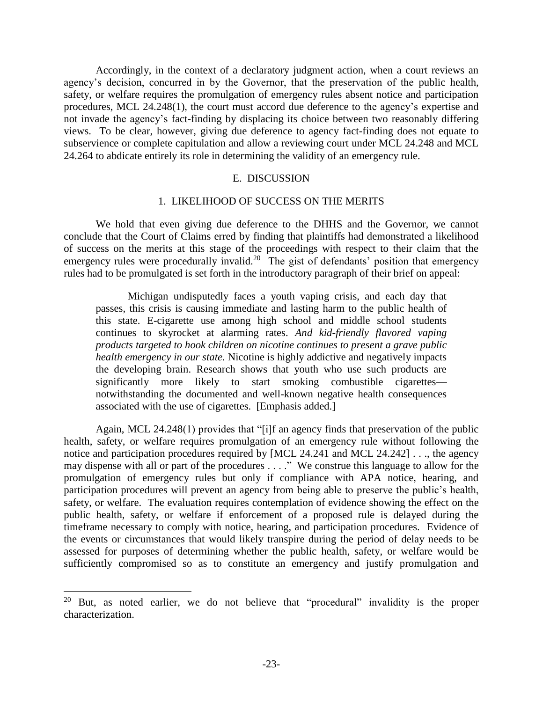Accordingly, in the context of a declaratory judgment action, when a court reviews an agency's decision, concurred in by the Governor, that the preservation of the public health, safety, or welfare requires the promulgation of emergency rules absent notice and participation procedures, MCL 24.248(1), the court must accord due deference to the agency's expertise and not invade the agency's fact-finding by displacing its choice between two reasonably differing views. To be clear, however, giving due deference to agency fact-finding does not equate to subservience or complete capitulation and allow a reviewing court under MCL 24.248 and MCL 24.264 to abdicate entirely its role in determining the validity of an emergency rule.

#### E. DISCUSSION

#### 1. LIKELIHOOD OF SUCCESS ON THE MERITS

We hold that even giving due deference to the DHHS and the Governor, we cannot conclude that the Court of Claims erred by finding that plaintiffs had demonstrated a likelihood of success on the merits at this stage of the proceedings with respect to their claim that the emergency rules were procedurally invalid.<sup>20</sup> The gist of defendants' position that emergency rules had to be promulgated is set forth in the introductory paragraph of their brief on appeal:

Michigan undisputedly faces a youth vaping crisis, and each day that passes, this crisis is causing immediate and lasting harm to the public health of this state. E-cigarette use among high school and middle school students continues to skyrocket at alarming rates. *And kid-friendly flavored vaping products targeted to hook children on nicotine continues to present a grave public health emergency in our state.* Nicotine is highly addictive and negatively impacts the developing brain. Research shows that youth who use such products are significantly more likely to start smoking combustible cigarettes notwithstanding the documented and well-known negative health consequences associated with the use of cigarettes. [Emphasis added.]

Again, MCL 24.248(1) provides that "[i]f an agency finds that preservation of the public health, safety, or welfare requires promulgation of an emergency rule without following the notice and participation procedures required by [MCL 24.241 and MCL 24.242] . . ., the agency may dispense with all or part of the procedures . . . ." We construe this language to allow for the promulgation of emergency rules but only if compliance with APA notice, hearing, and participation procedures will prevent an agency from being able to preserve the public's health, safety, or welfare. The evaluation requires contemplation of evidence showing the effect on the public health, safety, or welfare if enforcement of a proposed rule is delayed during the timeframe necessary to comply with notice, hearing, and participation procedures. Evidence of the events or circumstances that would likely transpire during the period of delay needs to be assessed for purposes of determining whether the public health, safety, or welfare would be sufficiently compromised so as to constitute an emergency and justify promulgation and

 $20$  But, as noted earlier, we do not believe that "procedural" invalidity is the proper characterization.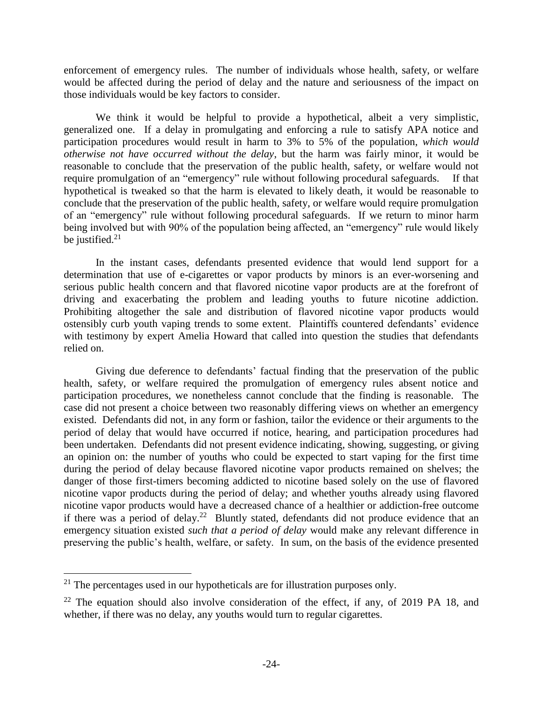enforcement of emergency rules. The number of individuals whose health, safety, or welfare would be affected during the period of delay and the nature and seriousness of the impact on those individuals would be key factors to consider.

We think it would be helpful to provide a hypothetical, albeit a very simplistic, generalized one. If a delay in promulgating and enforcing a rule to satisfy APA notice and participation procedures would result in harm to 3% to 5% of the population, *which would otherwise not have occurred without the delay*, but the harm was fairly minor, it would be reasonable to conclude that the preservation of the public health, safety, or welfare would not require promulgation of an "emergency" rule without following procedural safeguards. If that hypothetical is tweaked so that the harm is elevated to likely death, it would be reasonable to conclude that the preservation of the public health, safety, or welfare would require promulgation of an "emergency" rule without following procedural safeguards. If we return to minor harm being involved but with 90% of the population being affected, an "emergency" rule would likely be justified. $21$ 

In the instant cases, defendants presented evidence that would lend support for a determination that use of e-cigarettes or vapor products by minors is an ever-worsening and serious public health concern and that flavored nicotine vapor products are at the forefront of driving and exacerbating the problem and leading youths to future nicotine addiction. Prohibiting altogether the sale and distribution of flavored nicotine vapor products would ostensibly curb youth vaping trends to some extent. Plaintiffs countered defendants' evidence with testimony by expert Amelia Howard that called into question the studies that defendants relied on.

Giving due deference to defendants' factual finding that the preservation of the public health, safety, or welfare required the promulgation of emergency rules absent notice and participation procedures, we nonetheless cannot conclude that the finding is reasonable. The case did not present a choice between two reasonably differing views on whether an emergency existed. Defendants did not, in any form or fashion, tailor the evidence or their arguments to the period of delay that would have occurred if notice, hearing, and participation procedures had been undertaken. Defendants did not present evidence indicating, showing, suggesting, or giving an opinion on: the number of youths who could be expected to start vaping for the first time during the period of delay because flavored nicotine vapor products remained on shelves; the danger of those first-timers becoming addicted to nicotine based solely on the use of flavored nicotine vapor products during the period of delay; and whether youths already using flavored nicotine vapor products would have a decreased chance of a healthier or addiction-free outcome if there was a period of delay.<sup>22</sup> Bluntly stated, defendants did not produce evidence that an emergency situation existed *such that a period of delay* would make any relevant difference in preserving the public's health, welfare, or safety. In sum, on the basis of the evidence presented

 $21$  The percentages used in our hypotheticals are for illustration purposes only.

 $22$  The equation should also involve consideration of the effect, if any, of 2019 PA 18, and whether, if there was no delay, any youths would turn to regular cigarettes.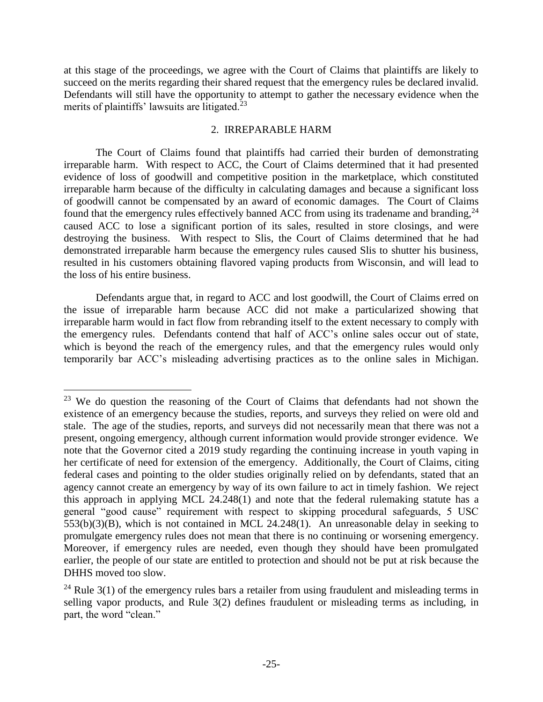at this stage of the proceedings, we agree with the Court of Claims that plaintiffs are likely to succeed on the merits regarding their shared request that the emergency rules be declared invalid. Defendants will still have the opportunity to attempt to gather the necessary evidence when the merits of plaintiffs' lawsuits are litigated. $^{23}$ 

#### 2. IRREPARABLE HARM

The Court of Claims found that plaintiffs had carried their burden of demonstrating irreparable harm. With respect to ACC, the Court of Claims determined that it had presented evidence of loss of goodwill and competitive position in the marketplace, which constituted irreparable harm because of the difficulty in calculating damages and because a significant loss of goodwill cannot be compensated by an award of economic damages. The Court of Claims found that the emergency rules effectively banned ACC from using its tradename and branding,  $24$ caused ACC to lose a significant portion of its sales, resulted in store closings, and were destroying the business. With respect to Slis, the Court of Claims determined that he had demonstrated irreparable harm because the emergency rules caused Slis to shutter his business, resulted in his customers obtaining flavored vaping products from Wisconsin, and will lead to the loss of his entire business.

Defendants argue that, in regard to ACC and lost goodwill, the Court of Claims erred on the issue of irreparable harm because ACC did not make a particularized showing that irreparable harm would in fact flow from rebranding itself to the extent necessary to comply with the emergency rules. Defendants contend that half of ACC's online sales occur out of state, which is beyond the reach of the emergency rules, and that the emergency rules would only temporarily bar ACC's misleading advertising practices as to the online sales in Michigan.

 $23$  We do question the reasoning of the Court of Claims that defendants had not shown the existence of an emergency because the studies, reports, and surveys they relied on were old and stale. The age of the studies, reports, and surveys did not necessarily mean that there was not a present, ongoing emergency, although current information would provide stronger evidence. We note that the Governor cited a 2019 study regarding the continuing increase in youth vaping in her certificate of need for extension of the emergency. Additionally, the Court of Claims, citing federal cases and pointing to the older studies originally relied on by defendants, stated that an agency cannot create an emergency by way of its own failure to act in timely fashion. We reject this approach in applying MCL 24.248(1) and note that the federal rulemaking statute has a general "good cause" requirement with respect to skipping procedural safeguards, 5 USC 553(b)(3)(B), which is not contained in MCL 24.248(1). An unreasonable delay in seeking to promulgate emergency rules does not mean that there is no continuing or worsening emergency. Moreover, if emergency rules are needed, even though they should have been promulgated earlier, the people of our state are entitled to protection and should not be put at risk because the DHHS moved too slow.

 $24$  Rule 3(1) of the emergency rules bars a retailer from using fraudulent and misleading terms in selling vapor products, and Rule 3(2) defines fraudulent or misleading terms as including, in part, the word "clean."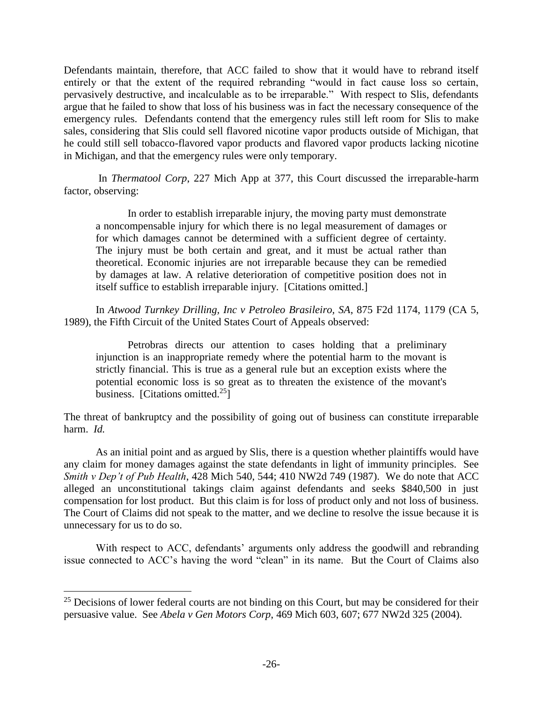Defendants maintain, therefore, that ACC failed to show that it would have to rebrand itself entirely or that the extent of the required rebranding "would in fact cause loss so certain, pervasively destructive, and incalculable as to be irreparable." With respect to Slis, defendants argue that he failed to show that loss of his business was in fact the necessary consequence of the emergency rules. Defendants contend that the emergency rules still left room for Slis to make sales, considering that Slis could sell flavored nicotine vapor products outside of Michigan, that he could still sell tobacco-flavored vapor products and flavored vapor products lacking nicotine in Michigan, and that the emergency rules were only temporary.

In *Thermatool Corp*, 227 Mich App at 377, this Court discussed the irreparable-harm factor, observing:

In order to establish irreparable injury, the moving party must demonstrate a noncompensable injury for which there is no legal measurement of damages or for which damages cannot be determined with a sufficient degree of certainty. The injury must be both certain and great, and it must be actual rather than theoretical. Economic injuries are not irreparable because they can be remedied by damages at law. A relative deterioration of competitive position does not in itself suffice to establish irreparable injury. [Citations omitted.]

In *Atwood Turnkey Drilling, Inc v Petroleo Brasileiro, SA*, 875 F2d 1174, 1179 (CA 5, 1989), the Fifth Circuit of the United States Court of Appeals observed:

Petrobras directs our attention to cases holding that a preliminary injunction is an inappropriate remedy where the potential harm to the movant is strictly financial. This is true as a general rule but an exception exists where the potential economic loss is so great as to threaten the existence of the movant's business. [Citations omitted.<sup>25</sup>]

The threat of bankruptcy and the possibility of going out of business can constitute irreparable harm. *Id.* 

As an initial point and as argued by Slis, there is a question whether plaintiffs would have any claim for money damages against the state defendants in light of immunity principles. See *Smith v Dep't of Pub Health*, 428 Mich 540, 544; 410 NW2d 749 (1987). We do note that ACC alleged an unconstitutional takings claim against defendants and seeks \$840,500 in just compensation for lost product. But this claim is for loss of product only and not loss of business. The Court of Claims did not speak to the matter, and we decline to resolve the issue because it is unnecessary for us to do so.

With respect to ACC, defendants' arguments only address the goodwill and rebranding issue connected to ACC's having the word "clean" in its name. But the Court of Claims also

 $25$  Decisions of lower federal courts are not binding on this Court, but may be considered for their persuasive value. See *Abela v Gen Motors Corp*, 469 Mich 603, 607; 677 NW2d 325 (2004).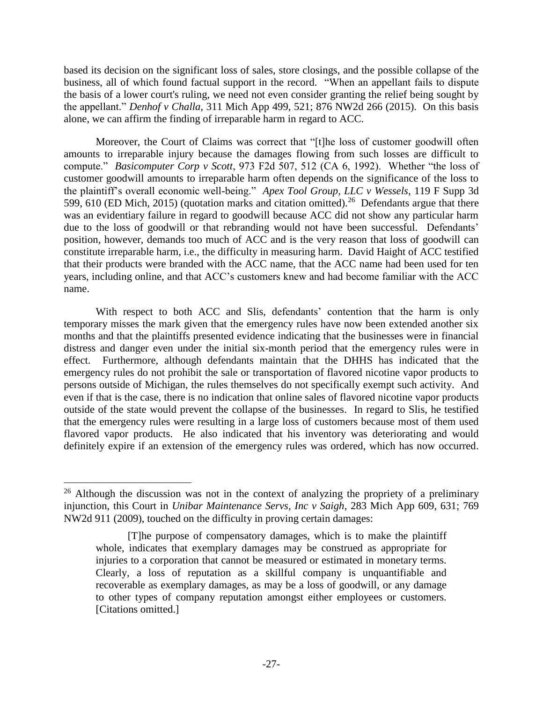based its decision on the significant loss of sales, store closings, and the possible collapse of the business, all of which found factual support in the record. "When an appellant fails to dispute the basis of a lower court's ruling, we need not even consider granting the relief being sought by the appellant." *Denhof v Challa*, 311 Mich App 499, 521; 876 NW2d 266 (2015). On this basis alone, we can affirm the finding of irreparable harm in regard to ACC.

Moreover, the Court of Claims was correct that "[t]he loss of customer goodwill often amounts to irreparable injury because the damages flowing from such losses are difficult to compute." *Basicomputer Corp v Scott*, 973 F2d 507, 512 (CA 6, 1992). Whether "the loss of customer goodwill amounts to irreparable harm often depends on the significance of the loss to the plaintiff's overall economic well-being." *Apex Tool Group, LLC v Wessels*, 119 F Supp 3d 599, 610 (ED Mich, 2015) (quotation marks and citation omitted).<sup>26</sup> Defendants argue that there was an evidentiary failure in regard to goodwill because ACC did not show any particular harm due to the loss of goodwill or that rebranding would not have been successful. Defendants' position, however, demands too much of ACC and is the very reason that loss of goodwill can constitute irreparable harm, i.e., the difficulty in measuring harm. David Haight of ACC testified that their products were branded with the ACC name, that the ACC name had been used for ten years, including online, and that ACC's customers knew and had become familiar with the ACC name.

With respect to both ACC and Slis, defendants' contention that the harm is only temporary misses the mark given that the emergency rules have now been extended another six months and that the plaintiffs presented evidence indicating that the businesses were in financial distress and danger even under the initial six-month period that the emergency rules were in effect. Furthermore, although defendants maintain that the DHHS has indicated that the emergency rules do not prohibit the sale or transportation of flavored nicotine vapor products to persons outside of Michigan, the rules themselves do not specifically exempt such activity. And even if that is the case, there is no indication that online sales of flavored nicotine vapor products outside of the state would prevent the collapse of the businesses. In regard to Slis, he testified that the emergency rules were resulting in a large loss of customers because most of them used flavored vapor products. He also indicated that his inventory was deteriorating and would definitely expire if an extension of the emergency rules was ordered, which has now occurred.

<sup>&</sup>lt;sup>26</sup> Although the discussion was not in the context of analyzing the propriety of a preliminary injunction, this Court in *Unibar Maintenance Servs, Inc v Saigh*, 283 Mich App 609, 631; 769 NW2d 911 (2009), touched on the difficulty in proving certain damages:

<sup>[</sup>T]he purpose of compensatory damages, which is to make the plaintiff whole, indicates that exemplary damages may be construed as appropriate for injuries to a corporation that cannot be measured or estimated in monetary terms. Clearly, a loss of reputation as a skillful company is unquantifiable and recoverable as exemplary damages, as may be a loss of goodwill, or any damage to other types of company reputation amongst either employees or customers. [Citations omitted.]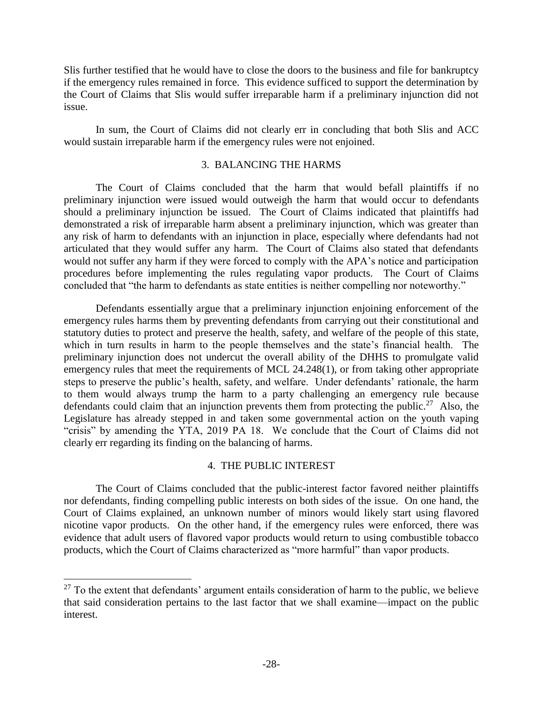Slis further testified that he would have to close the doors to the business and file for bankruptcy if the emergency rules remained in force. This evidence sufficed to support the determination by the Court of Claims that Slis would suffer irreparable harm if a preliminary injunction did not issue.

In sum, the Court of Claims did not clearly err in concluding that both Slis and ACC would sustain irreparable harm if the emergency rules were not enjoined.

#### 3. BALANCING THE HARMS

The Court of Claims concluded that the harm that would befall plaintiffs if no preliminary injunction were issued would outweigh the harm that would occur to defendants should a preliminary injunction be issued. The Court of Claims indicated that plaintiffs had demonstrated a risk of irreparable harm absent a preliminary injunction, which was greater than any risk of harm to defendants with an injunction in place, especially where defendants had not articulated that they would suffer any harm. The Court of Claims also stated that defendants would not suffer any harm if they were forced to comply with the APA's notice and participation procedures before implementing the rules regulating vapor products. The Court of Claims concluded that "the harm to defendants as state entities is neither compelling nor noteworthy."

Defendants essentially argue that a preliminary injunction enjoining enforcement of the emergency rules harms them by preventing defendants from carrying out their constitutional and statutory duties to protect and preserve the health, safety, and welfare of the people of this state, which in turn results in harm to the people themselves and the state's financial health. The preliminary injunction does not undercut the overall ability of the DHHS to promulgate valid emergency rules that meet the requirements of MCL 24.248(1), or from taking other appropriate steps to preserve the public's health, safety, and welfare. Under defendants' rationale, the harm to them would always trump the harm to a party challenging an emergency rule because defendants could claim that an injunction prevents them from protecting the public.<sup>27</sup> Also, the Legislature has already stepped in and taken some governmental action on the youth vaping "crisis" by amending the YTA, 2019 PA 18. We conclude that the Court of Claims did not clearly err regarding its finding on the balancing of harms.

### 4. THE PUBLIC INTEREST

The Court of Claims concluded that the public-interest factor favored neither plaintiffs nor defendants, finding compelling public interests on both sides of the issue. On one hand, the Court of Claims explained, an unknown number of minors would likely start using flavored nicotine vapor products. On the other hand, if the emergency rules were enforced, there was evidence that adult users of flavored vapor products would return to using combustible tobacco products, which the Court of Claims characterized as "more harmful" than vapor products.

 $27$  To the extent that defendants' argument entails consideration of harm to the public, we believe that said consideration pertains to the last factor that we shall examine—impact on the public interest.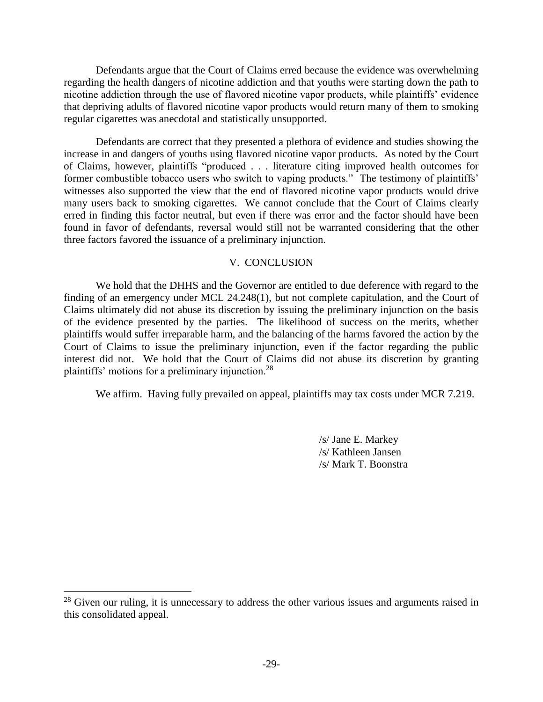Defendants argue that the Court of Claims erred because the evidence was overwhelming regarding the health dangers of nicotine addiction and that youths were starting down the path to nicotine addiction through the use of flavored nicotine vapor products, while plaintiffs' evidence that depriving adults of flavored nicotine vapor products would return many of them to smoking regular cigarettes was anecdotal and statistically unsupported.

Defendants are correct that they presented a plethora of evidence and studies showing the increase in and dangers of youths using flavored nicotine vapor products. As noted by the Court of Claims, however, plaintiffs "produced . . . literature citing improved health outcomes for former combustible tobacco users who switch to vaping products." The testimony of plaintiffs' witnesses also supported the view that the end of flavored nicotine vapor products would drive many users back to smoking cigarettes. We cannot conclude that the Court of Claims clearly erred in finding this factor neutral, but even if there was error and the factor should have been found in favor of defendants, reversal would still not be warranted considering that the other three factors favored the issuance of a preliminary injunction.

#### V. CONCLUSION

We hold that the DHHS and the Governor are entitled to due deference with regard to the finding of an emergency under MCL 24.248(1), but not complete capitulation, and the Court of Claims ultimately did not abuse its discretion by issuing the preliminary injunction on the basis of the evidence presented by the parties. The likelihood of success on the merits, whether plaintiffs would suffer irreparable harm, and the balancing of the harms favored the action by the Court of Claims to issue the preliminary injunction, even if the factor regarding the public interest did not. We hold that the Court of Claims did not abuse its discretion by granting plaintiffs' motions for a preliminary injunction.<sup>28</sup>

We affirm. Having fully prevailed on appeal, plaintiffs may tax costs under MCR 7.219.

/s/ Jane E. Markey /s/ Kathleen Jansen /s/ Mark T. Boonstra

 $28$  Given our ruling, it is unnecessary to address the other various issues and arguments raised in this consolidated appeal.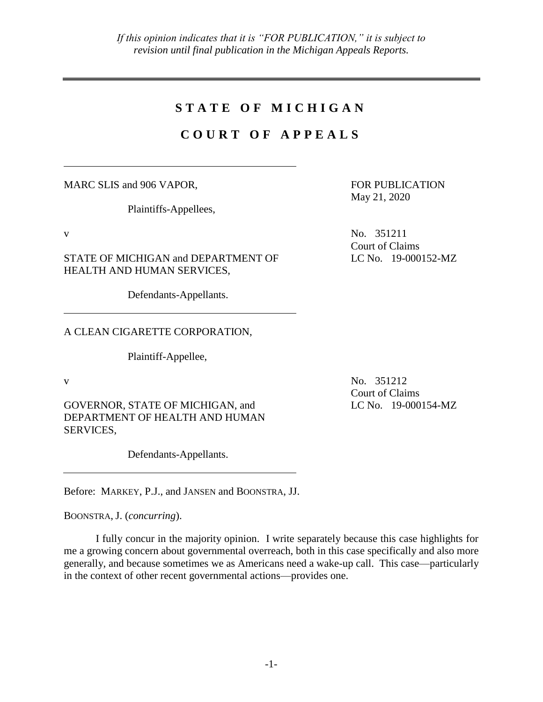# **S T A T E O F M I C H I G A N**

# **C O U R T O F A P P E A L S**

MARC SLIS and 906 VAPOR,

Plaintiffs-Appellees,

STATE OF MICHIGAN and DEPARTMENT OF HEALTH AND HUMAN SERVICES,

Defendants-Appellants.

A CLEAN CIGARETTE CORPORATION,

Plaintiff-Appellee,

GOVERNOR, STATE OF MICHIGAN, and DEPARTMENT OF HEALTH AND HUMAN SERVICES,

Defendants-Appellants.

Before: MARKEY, P.J., and JANSEN and BOONSTRA, JJ.

BOONSTRA, J. (*concurring*).

I fully concur in the majority opinion. I write separately because this case highlights for me a growing concern about governmental overreach, both in this case specifically and also more generally, and because sometimes we as Americans need a wake-up call. This case—particularly in the context of other recent governmental actions—provides one.

FOR PUBLICATION May 21, 2020

v No. 351211 Court of Claims LC No. 19-000152-MZ

v No. 351212 Court of Claims LC No. 19-000154-MZ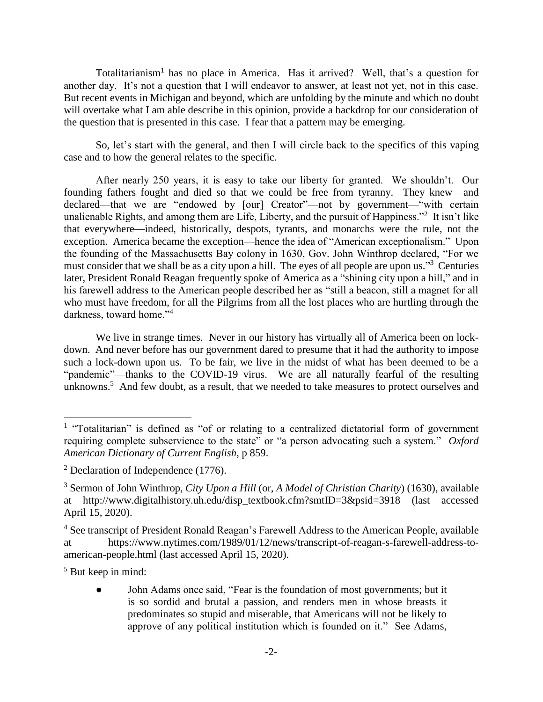Totalitarianism<sup>1</sup> has no place in America. Has it arrived? Well, that's a question for another day. It's not a question that I will endeavor to answer, at least not yet, not in this case. But recent events in Michigan and beyond, which are unfolding by the minute and which no doubt will overtake what I am able describe in this opinion, provide a backdrop for our consideration of the question that is presented in this case. I fear that a pattern may be emerging.

So, let's start with the general, and then I will circle back to the specifics of this vaping case and to how the general relates to the specific.

After nearly 250 years, it is easy to take our liberty for granted. We shouldn't. Our founding fathers fought and died so that we could be free from tyranny. They knew—and declared—that we are "endowed by [our] Creator"—not by government—"with certain unalienable Rights, and among them are Life, Liberty, and the pursuit of Happiness."<sup>2</sup> It isn't like that everywhere—indeed, historically, despots, tyrants, and monarchs were the rule, not the exception. America became the exception—hence the idea of "American exceptionalism." Upon the founding of the Massachusetts Bay colony in 1630, Gov. John Winthrop declared, "For we must consider that we shall be as a city upon a hill. The eyes of all people are upon us."<sup>3</sup> Centuries later, President Ronald Reagan frequently spoke of America as a "shining city upon a hill," and in his farewell address to the American people described her as "still a beacon, still a magnet for all who must have freedom, for all the Pilgrims from all the lost places who are hurtling through the darkness, toward home."<sup>4</sup>

We live in strange times. Never in our history has virtually all of America been on lockdown. And never before has our government dared to presume that it had the authority to impose such a lock-down upon us. To be fair, we live in the midst of what has been deemed to be a "pandemic"—thanks to the COVID-19 virus. We are all naturally fearful of the resulting unknowns.<sup>5</sup> And few doubt, as a result, that we needed to take measures to protect ourselves and

<sup>5</sup> But keep in mind:

 $\overline{a}$ 

• John Adams once said, "Fear is the foundation of most governments; but it is so sordid and brutal a passion, and renders men in whose breasts it predominates so stupid and miserable, that Americans will not be likely to approve of any political institution which is founded on it." See Adams,

<sup>&</sup>lt;sup>1</sup> "Totalitarian" is defined as "of or relating to a centralized dictatorial form of government requiring complete subservience to the state<sup>7</sup> or "a person advocating such a system." *Oxford American Dictionary of Current English*, p 859.

 $2$  Declaration of Independence (1776).

<sup>3</sup> Sermon of John Winthrop, *City Upon a Hill* (or, *A Model of Christian Charity*) (1630), available at http://www.digitalhistory.uh.edu/disp\_textbook.cfm?smtID=3&psid=3918 (last accessed April 15, 2020).

<sup>4</sup> See transcript of President Ronald Reagan's Farewell Address to the American People, available https://www.nytimes.com/1989/01/12/news/transcript-of-reagan-s-farewell-address-toamerican-people.html (last accessed April 15, 2020).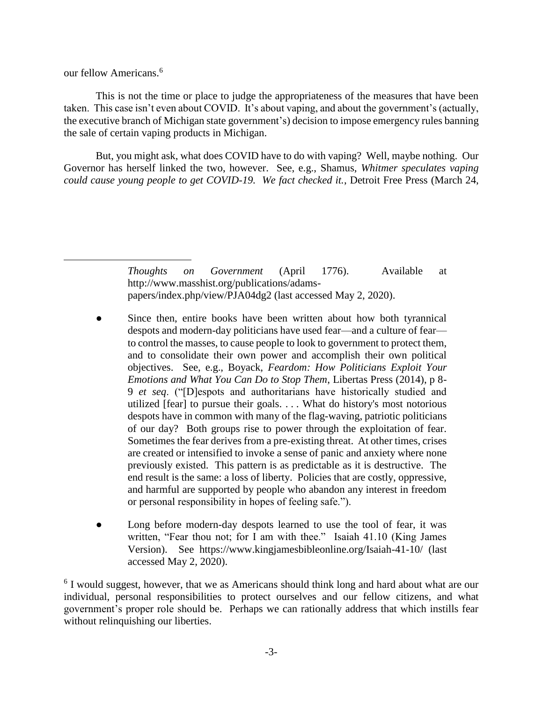our fellow Americans. 6

 $\overline{a}$ 

This is not the time or place to judge the appropriateness of the measures that have been taken. This case isn't even about COVID. It's about vaping, and about the government's (actually, the executive branch of Michigan state government's) decision to impose emergency rules banning the sale of certain vaping products in Michigan.

But, you might ask, what does COVID have to do with vaping? Well, maybe nothing. Our Governor has herself linked the two, however. See, e.g., Shamus, *Whitmer speculates vaping could cause young people to get COVID-19. We fact checked it.*, Detroit Free Press (March 24,

> *Thoughts on Government* (April 1776). Available at http://www.masshist.org/publications/adamspapers/index.php/view/PJA04dg2 (last accessed May 2, 2020).

- Since then, entire books have been written about how both tyrannical despots and modern-day politicians have used fear—and a culture of fear to control the masses, to cause people to look to government to protect them, and to consolidate their own power and accomplish their own political objectives. See, e.g., Boyack, *Feardom: How Politicians Exploit Your Emotions and What You Can Do to Stop Them*, Libertas Press (2014), p 8- 9 *et seq*. ("[D]espots and authoritarians have historically studied and utilized [fear] to pursue their goals. . . . What do history's most notorious despots have in common with many of the flag-waving, patriotic politicians of our day? Both groups rise to power through the exploitation of fear. Sometimes the fear derives from a pre-existing threat. At other times, crises are created or intensified to invoke a sense of panic and anxiety where none previously existed. This pattern is as predictable as it is destructive. The end result is the same: a loss of liberty. Policies that are costly, oppressive, and harmful are supported by people who abandon any interest in freedom or personal responsibility in hopes of feeling safe.").
- Long before modern-day despots learned to use the tool of fear, it was written, "Fear thou not; for I am with thee." Isaiah 41.10 (King James Version). See https://www.kingjamesbibleonline.org/Isaiah-41-10/ (last accessed May 2, 2020).

 $6$  I would suggest, however, that we as Americans should think long and hard about what are our individual, personal responsibilities to protect ourselves and our fellow citizens, and what government's proper role should be. Perhaps we can rationally address that which instills fear without relinquishing our liberties.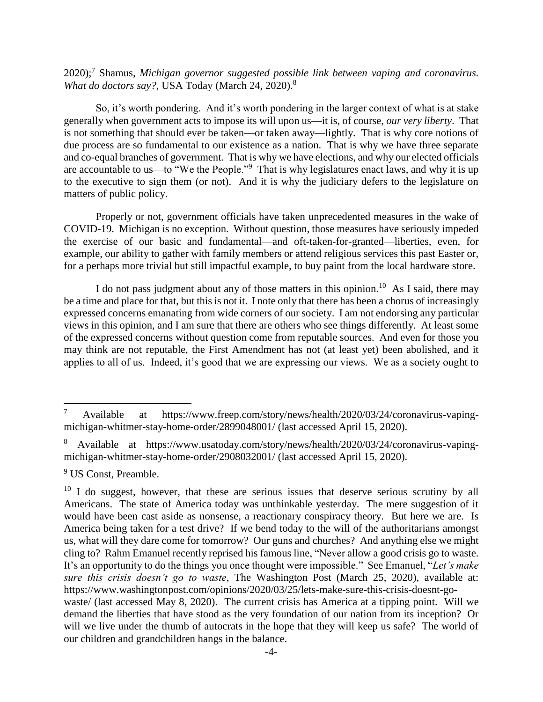2020);<sup>7</sup> Shamus, *Michigan governor suggested possible link between vaping and coronavirus. What do doctors say?*, USA Today (March 24, 2020).<sup>8</sup>

So, it's worth pondering. And it's worth pondering in the larger context of what is at stake generally when government acts to impose its will upon us—it is, of course, *our very liberty*. That is not something that should ever be taken—or taken away—lightly. That is why core notions of due process are so fundamental to our existence as a nation. That is why we have three separate and co-equal branches of government. That is why we have elections, and why our elected officials are accountable to us—to "We the People."<sup>9</sup> That is why legislatures enact laws, and why it is up to the executive to sign them (or not). And it is why the judiciary defers to the legislature on matters of public policy.

Properly or not, government officials have taken unprecedented measures in the wake of COVID-19. Michigan is no exception. Without question, those measures have seriously impeded the exercise of our basic and fundamental—and oft-taken-for-granted—liberties, even, for example, our ability to gather with family members or attend religious services this past Easter or, for a perhaps more trivial but still impactful example, to buy paint from the local hardware store.

I do not pass judgment about any of those matters in this opinion.<sup>10</sup> As I said, there may be a time and place for that, but this is not it. I note only that there has been a chorus of increasingly expressed concerns emanating from wide corners of our society. I am not endorsing any particular views in this opinion, and I am sure that there are others who see things differently. At least some of the expressed concerns without question come from reputable sources. And even for those you may think are not reputable, the First Amendment has not (at least yet) been abolished, and it applies to all of us. Indeed, it's good that we are expressing our views. We as a society ought to

<sup>9</sup> US Const, Preamble.

<sup>7</sup> Available at https://www.freep.com/story/news/health/2020/03/24/coronavirus-vapingmichigan-whitmer-stay-home-order/2899048001/ (last accessed April 15, 2020).

<sup>8</sup> Available at https://www.usatoday.com/story/news/health/2020/03/24/coronavirus-vapingmichigan-whitmer-stay-home-order/2908032001/ (last accessed April 15, 2020).

 $10$  I do suggest, however, that these are serious issues that deserve serious scrutiny by all Americans. The state of America today was unthinkable yesterday. The mere suggestion of it would have been cast aside as nonsense, a reactionary conspiracy theory. But here we are. Is America being taken for a test drive? If we bend today to the will of the authoritarians amongst us, what will they dare come for tomorrow? Our guns and churches? And anything else we might cling to? Rahm Emanuel recently reprised his famous line, "Never allow a good crisis go to waste. It's an opportunity to do the things you once thought were impossible." See Emanuel, "*Let's make sure this crisis doesn't go to waste*, The Washington Post (March 25, 2020), available at: https://www.washingtonpost.com/opinions/2020/03/25/lets-make-sure-this-crisis-doesnt-gowaste/ (last accessed May 8, 2020). The current crisis has America at a tipping point. Will we demand the liberties that have stood as the very foundation of our nation from its inception? Or will we live under the thumb of autocrats in the hope that they will keep us safe? The world of our children and grandchildren hangs in the balance.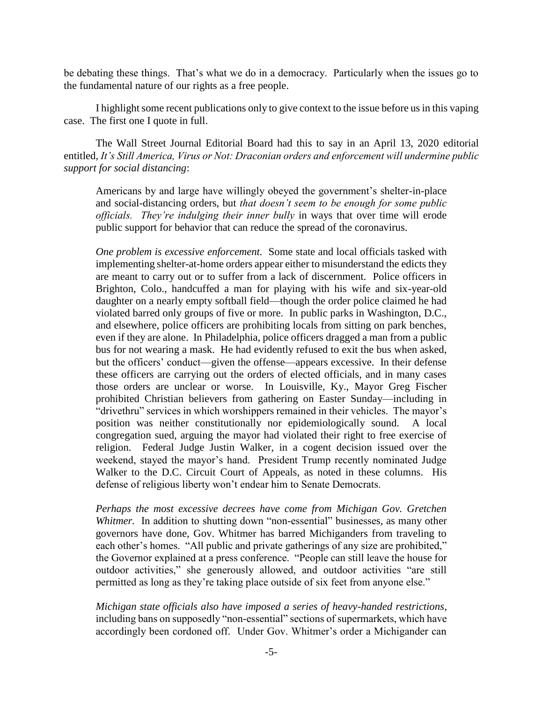be debating these things. That's what we do in a democracy. Particularly when the issues go to the fundamental nature of our rights as a free people.

I highlight some recent publications only to give context to the issue before us in this vaping case. The first one I quote in full.

The Wall Street Journal Editorial Board had this to say in an April 13, 2020 editorial entitled, *It's Still America, Virus or Not: Draconian orders and enforcement will undermine public support for social distancing*:

Americans by and large have willingly obeyed the government's shelter-in-place and social-distancing orders, but *that doesn't seem to be enough for some public officials. They're indulging their inner bully* in ways that over time will erode public support for behavior that can reduce the spread of the coronavirus.

*One problem is excessive enforcement.* Some state and local officials tasked with implementing shelter-at-home orders appear either to misunderstand the edicts they are meant to carry out or to suffer from a lack of discernment. Police officers in Brighton, Colo., handcuffed a man for playing with his wife and six-year-old daughter on a nearly empty softball field—though the order police claimed he had violated barred only groups of five or more. In public parks in Washington, D.C., and elsewhere, police officers are prohibiting locals from sitting on park benches, even if they are alone. In Philadelphia, police officers dragged a man from a public bus for not wearing a mask. He had evidently refused to exit the bus when asked, but the officers' conduct—given the offense—appears excessive. In their defense these officers are carrying out the orders of elected officials, and in many cases those orders are unclear or worse. In Louisville, Ky., Mayor Greg Fischer prohibited Christian believers from gathering on Easter Sunday—including in "drivethru" services in which worshippers remained in their vehicles. The mayor's position was neither constitutionally nor epidemiologically sound. A local congregation sued, arguing the mayor had violated their right to free exercise of religion. Federal Judge Justin Walker, in a cogent decision issued over the weekend, stayed the mayor's hand. President Trump recently nominated Judge Walker to the D.C. Circuit Court of Appeals, as noted in these columns. His defense of religious liberty won't endear him to Senate Democrats.

*Perhaps the most excessive decrees have come from Michigan Gov. Gretchen Whitmer.* In addition to shutting down "non-essential" businesses, as many other governors have done, Gov. Whitmer has barred Michiganders from traveling to each other's homes. "All public and private gatherings of any size are prohibited," the Governor explained at a press conference. "People can still leave the house for outdoor activities," she generously allowed, and outdoor activities "are still permitted as long as they're taking place outside of six feet from anyone else."

*Michigan state officials also have imposed a series of heavy-handed restrictions*, including bans on supposedly "non-essential" sections of supermarkets, which have accordingly been cordoned off. Under Gov. Whitmer's order a Michigander can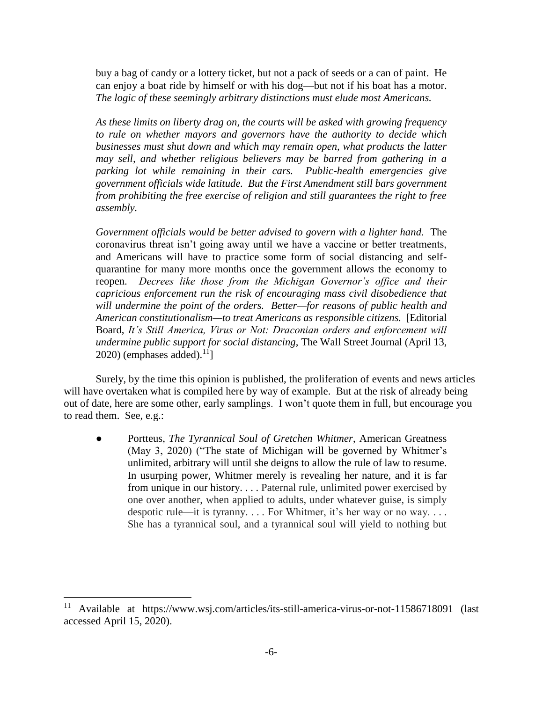buy a bag of candy or a lottery ticket, but not a pack of seeds or a can of paint. He can enjoy a boat ride by himself or with his dog—but not if his boat has a motor. *The logic of these seemingly arbitrary distinctions must elude most Americans.*

*As these limits on liberty drag on, the courts will be asked with growing frequency to rule on whether mayors and governors have the authority to decide which businesses must shut down and which may remain open, what products the latter may sell, and whether religious believers may be barred from gathering in a parking lot while remaining in their cars. Public-health emergencies give government officials wide latitude. But the First Amendment still bars government from prohibiting the free exercise of religion and still guarantees the right to free assembly.*

*Government officials would be better advised to govern with a lighter hand.* The coronavirus threat isn't going away until we have a vaccine or better treatments, and Americans will have to practice some form of social distancing and selfquarantine for many more months once the government allows the economy to reopen. *Decrees like those from the Michigan Governor's office and their capricious enforcement run the risk of encouraging mass civil disobedience that will undermine the point of the orders. Better—for reasons of public health and American constitutionalism—to treat Americans as responsible citizens.* [Editorial Board, *It's Still America, Virus or Not: Draconian orders and enforcement will undermine public support for social distancing*, The Wall Street Journal (April 13,  $2020$ ) (emphases added).<sup>11</sup>]

Surely, by the time this opinion is published, the proliferation of events and news articles will have overtaken what is compiled here by way of example. But at the risk of already being out of date, here are some other, early samplings. I won't quote them in full, but encourage you to read them. See, e.g.:

Portteus, *The Tyrannical Soul of Gretchen Whitmer*, American Greatness (May 3, 2020) ("The state of Michigan will be governed by Whitmer's unlimited, arbitrary will until she deigns to allow the rule of law to resume. In usurping power, Whitmer merely is revealing her nature, and it is far from unique in our history. . . . Paternal rule, unlimited power exercised by one over another, when applied to adults, under whatever guise, is simply despotic rule—it is tyranny. . . . For Whitmer, it's her way or no way. . . . She has a tyrannical soul, and a tyrannical soul will yield to nothing but

<sup>11</sup> Available at https://www.wsj.com/articles/its-still-america-virus-or-not-11586718091 (last accessed April 15, 2020).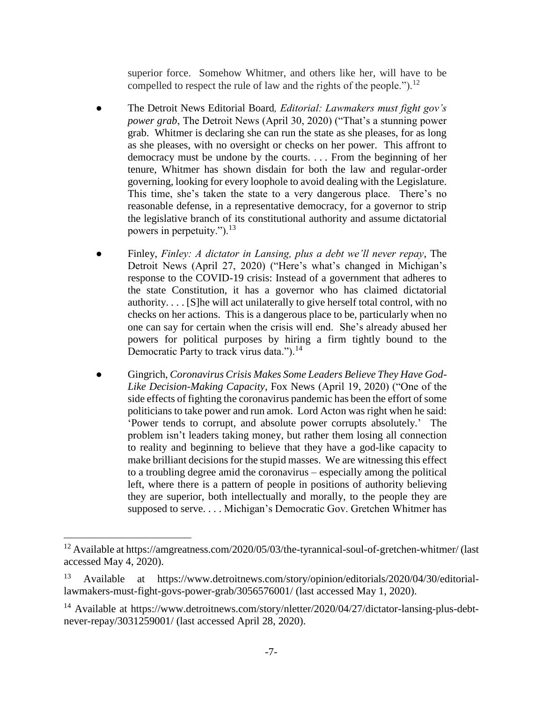superior force. Somehow Whitmer, and others like her, will have to be compelled to respect the rule of law and the rights of the people.").<sup>12</sup>

- The Detroit News Editorial Board*, Editorial: Lawmakers must fight gov's power grab*, The Detroit News (April 30, 2020) ("That's a stunning power grab. Whitmer is declaring she can run the state as she pleases, for as long as she pleases, with no oversight or checks on her power. This affront to democracy must be undone by the courts. . . . From the beginning of her tenure, Whitmer has shown disdain for both the law and regular-order governing, looking for every loophole to avoid dealing with the Legislature. This time, she's taken the state to a very dangerous place. There's no reasonable defense, in a representative democracy, for a governor to strip the legislative branch of its constitutional authority and assume dictatorial powers in perpetuity."). $^{13}$
- Finley, *Finley: A dictator in Lansing, plus a debt we'll never repay*, The Detroit News (April 27, 2020) ("Here's what's changed in Michigan's response to the COVID-19 crisis: Instead of a government that adheres to the state Constitution, it has a governor who has claimed dictatorial authority. . . . [S]he will act unilaterally to give herself total control, with no checks on her actions. This is a dangerous place to be, particularly when no one can say for certain when the crisis will end. She's already abused her powers for political purposes by hiring a firm tightly bound to the Democratic Party to track virus data.").<sup>14</sup>
- Gingrich, *Coronavirus Crisis Makes Some Leaders Believe They Have God-Like Decision-Making Capacity*, Fox News (April 19, 2020) ("One of the side effects of fighting the coronavirus pandemic has been the effort of some politicians to take power and run amok. Lord Acton was right when he said: 'Power tends to corrupt, and absolute power corrupts absolutely.' The problem isn't leaders taking money, but rather them losing all connection to reality and beginning to believe that they have a god-like capacity to make brilliant decisions for the stupid masses. We are witnessing this effect to a troubling degree amid the coronavirus – especially among the political left, where there is a pattern of people in positions of authority believing they are superior, both intellectually and morally, to the people they are supposed to serve. . . . Michigan's Democratic Gov. Gretchen Whitmer has

<sup>&</sup>lt;sup>12</sup> Available at https://amgreatness.com/2020/05/03/the-tyrannical-soul-of-gretchen-whitmer/ (last accessed May 4, 2020).

<sup>13</sup> Available at https://www.detroitnews.com/story/opinion/editorials/2020/04/30/editoriallawmakers-must-fight-govs-power-grab/3056576001/ (last accessed May 1, 2020).

<sup>&</sup>lt;sup>14</sup> Available at https://www.detroitnews.com/story/nletter/2020/04/27/dictator-lansing-plus-debtnever-repay/3031259001/ (last accessed April 28, 2020).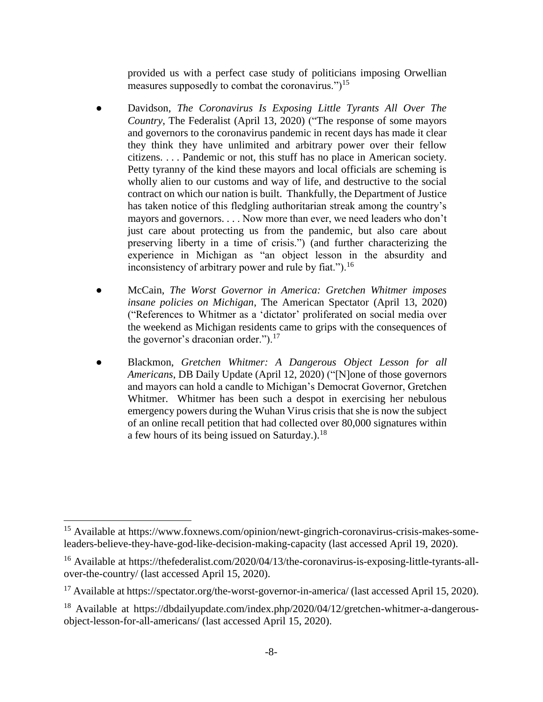provided us with a perfect case study of politicians imposing Orwellian measures supposedly to combat the coronavirus." $)^{15}$ 

- Davidson, *The Coronavirus Is Exposing Little Tyrants All Over The Country*, The Federalist (April 13, 2020) ("The response of some mayors and governors to the coronavirus pandemic in recent days has made it clear they think they have unlimited and arbitrary power over their fellow citizens. . . . Pandemic or not, this stuff has no place in American society. Petty tyranny of the kind these mayors and local officials are scheming is wholly alien to our customs and way of life, and destructive to the social contract on which our nation is built. Thankfully, the Department of Justice has taken notice of this fledgling authoritarian streak among the country's mayors and governors. . . . Now more than ever, we need leaders who don't just care about protecting us from the pandemic, but also care about preserving liberty in a time of crisis.") (and further characterizing the experience in Michigan as "an object lesson in the absurdity and inconsistency of arbitrary power and rule by fiat." $b^{16}$ .
- McCain, *The Worst Governor in America: Gretchen Whitmer imposes insane policies on Michigan*, The American Spectator (April 13, 2020) ("References to Whitmer as a 'dictator' proliferated on social media over the weekend as Michigan residents came to grips with the consequences of the governor's draconian order." $)^{17}$
- Blackmon, *Gretchen Whitmer: A Dangerous Object Lesson for all Americans*, DB Daily Update (April 12, 2020) ("[N]one of those governors and mayors can hold a candle to Michigan's Democrat Governor, Gretchen Whitmer. Whitmer has been such a despot in exercising her nebulous emergency powers during the Wuhan Virus crisis that she is now the subject of an online recall petition that had collected over 80,000 signatures within a few hours of its being issued on Saturday.).<sup>18</sup>

<sup>&</sup>lt;sup>15</sup> Available at https://www.foxnews.com/opinion/newt-gingrich-coronavirus-crisis-makes-someleaders-believe-they-have-god-like-decision-making-capacity (last accessed April 19, 2020).

<sup>16</sup> Available at https://thefederalist.com/2020/04/13/the-coronavirus-is-exposing-little-tyrants-allover-the-country/ (last accessed April 15, 2020).

<sup>&</sup>lt;sup>17</sup> Available at https://spectator.org/the-worst-governor-in-america/ (last accessed April 15, 2020).

<sup>&</sup>lt;sup>18</sup> Available at https://dbdailyupdate.com/index.php/2020/04/12/gretchen-whitmer-a-dangerousobject-lesson-for-all-americans/ (last accessed April 15, 2020).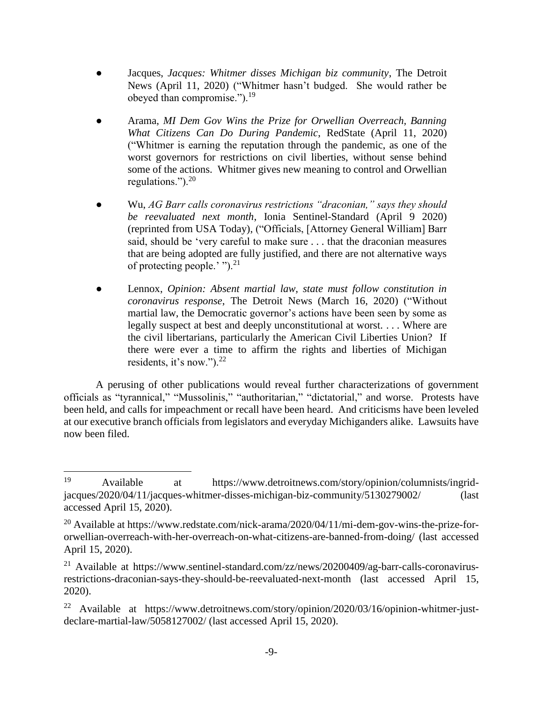- Jacques, *Jacques: Whitmer disses Michigan biz community*, The Detroit News (April 11, 2020) ("Whitmer hasn't budged. She would rather be obeyed than compromise.").<sup>19</sup>
- Arama, *MI Dem Gov Wins the Prize for Orwellian Overreach, Banning What Citizens Can Do During Pandemic*, RedState (April 11, 2020) ("Whitmer is earning the reputation through the pandemic, as one of the worst governors for restrictions on civil liberties, without sense behind some of the actions. Whitmer gives new meaning to control and Orwellian regulations.").<sup>20</sup>
- Wu, *AG Barr calls coronavirus restrictions "draconian," says they should be reevaluated next month*, Ionia Sentinel-Standard (April 9 2020) (reprinted from USA Today), ("Officials, [Attorney General William] Barr said, should be 'very careful to make sure . . . that the draconian measures that are being adopted are fully justified, and there are not alternative ways of protecting people.' " $^{21}$
- Lennox, *Opinion: Absent martial law, state must follow constitution in coronavirus response*, The Detroit News (March 16, 2020) ("Without martial law, the Democratic governor's actions have been seen by some as legally suspect at best and deeply unconstitutional at worst. . . . Where are the civil libertarians, particularly the American Civil Liberties Union? If there were ever a time to affirm the rights and liberties of Michigan residents, it's now."). $^{22}$

A perusing of other publications would reveal further characterizations of government officials as "tyrannical," "Mussolinis," "authoritarian," "dictatorial," and worse. Protests have been held, and calls for impeachment or recall have been heard. And criticisms have been leveled at our executive branch officials from legislators and everyday Michiganders alike. Lawsuits have now been filed.

<sup>19</sup> Available at https://www.detroitnews.com/story/opinion/columnists/ingridjacques/2020/04/11/jacques-whitmer-disses-michigan-biz-community/5130279002/ (last accessed April 15, 2020).

<sup>&</sup>lt;sup>20</sup> Available at https://www.redstate.com/nick-arama/2020/04/11/mi-dem-gov-wins-the-prize-fororwellian-overreach-with-her-overreach-on-what-citizens-are-banned-from-doing/ (last accessed April 15, 2020).

<sup>&</sup>lt;sup>21</sup> Available at https://www.sentinel-standard.com/zz/news/20200409/ag-barr-calls-coronavirusrestrictions-draconian-says-they-should-be-reevaluated-next-month (last accessed April 15, 2020).

<sup>22</sup> Available at https://www.detroitnews.com/story/opinion/2020/03/16/opinion-whitmer-justdeclare-martial-law/5058127002/ (last accessed April 15, 2020).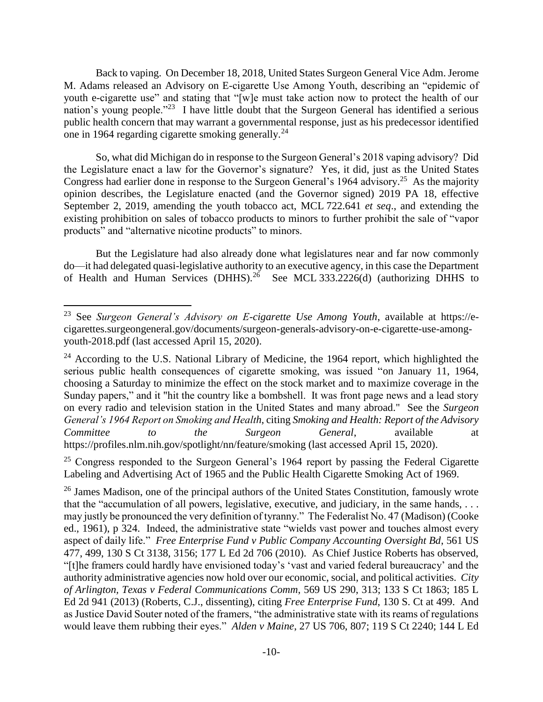Back to vaping. On December 18, 2018, United States Surgeon General Vice Adm. Jerome M. Adams released an Advisory on E-cigarette Use Among Youth, describing an "epidemic of youth e-cigarette use" and stating that "[w]e must take action now to protect the health of our nation's young people."<sup>23</sup> I have little doubt that the Surgeon General has identified a serious public health concern that may warrant a governmental response, just as his predecessor identified one in 1964 regarding cigarette smoking generally.<sup>24</sup>

So, what did Michigan do in response to the Surgeon General's 2018 vaping advisory? Did the Legislature enact a law for the Governor's signature? Yes, it did, just as the United States Congress had earlier done in response to the Surgeon General's 1964 advisory.<sup>25</sup> As the majority opinion describes, the Legislature enacted (and the Governor signed) 2019 PA 18, effective September 2, 2019, amending the youth tobacco act, MCL 722.641 *et seq*., and extending the existing prohibition on sales of tobacco products to minors to further prohibit the sale of "vapor products" and "alternative nicotine products" to minors.

But the Legislature had also already done what legislatures near and far now commonly do—it had delegated quasi-legislative authority to an executive agency, in this case the Department of Health and Human Services (DHHS).<sup>26</sup> See MCL 333.2226(d) (authorizing DHHS to

 $\overline{a}$ 

 $25$  Congress responded to the Surgeon General's 1964 report by passing the Federal Cigarette Labeling and Advertising Act of 1965 and the Public Health Cigarette Smoking Act of 1969.

<sup>23</sup> See *Surgeon General's Advisory on E-cigarette Use Among Youth*, available at https://ecigarettes.surgeongeneral.gov/documents/surgeon-generals-advisory-on-e-cigarette-use-amongyouth-2018.pdf (last accessed April 15, 2020).

 $24$  According to the U.S. National Library of Medicine, the 1964 report, which highlighted the serious public health consequences of cigarette smoking, was issued "on January 11, 1964, choosing a Saturday to minimize the effect on the stock market and to maximize coverage in the Sunday papers," and it "hit the country like a bombshell. It was front page news and a lead story on every radio and television station in the United States and many abroad." See the *Surgeon General's 1964 Report on Smoking and Health*, citing *Smoking and Health: Report of the Advisory Committee to the Surgeon General*, available at https://profiles.nlm.nih.gov/spotlight/nn/feature/smoking (last accessed April 15, 2020).

<sup>&</sup>lt;sup>26</sup> James Madison, one of the principal authors of the United States Constitution, famously wrote that the "accumulation of all powers, legislative, executive, and judiciary, in the same hands, . . . may justly be pronounced the very definition of tyranny." The Federalist No. 47 (Madison) (Cooke ed., 1961), p 324. Indeed, the administrative state "wields vast power and touches almost every aspect of daily life." *Free Enterprise Fund v Public Company Accounting Oversight Bd*, 561 US 477, 499, 130 S Ct 3138, 3156; 177 L Ed 2d 706 (2010). As Chief Justice Roberts has observed, "[t]he framers could hardly have envisioned today's 'vast and varied federal bureaucracy' and the authority administrative agencies now hold over our economic, social, and political activities. *City of Arlington, Texas v Federal Communications Comm*, 569 US 290, 313; 133 S Ct 1863; 185 L Ed 2d 941 (2013) (Roberts, C.J., dissenting), citing *Free Enterprise Fund*, 130 S. Ct at 499. And as Justice David Souter noted of the framers, "the administrative state with its reams of regulations would leave them rubbing their eyes." *Alden v Maine*, 27 US 706, 807; 119 S Ct 2240; 144 L Ed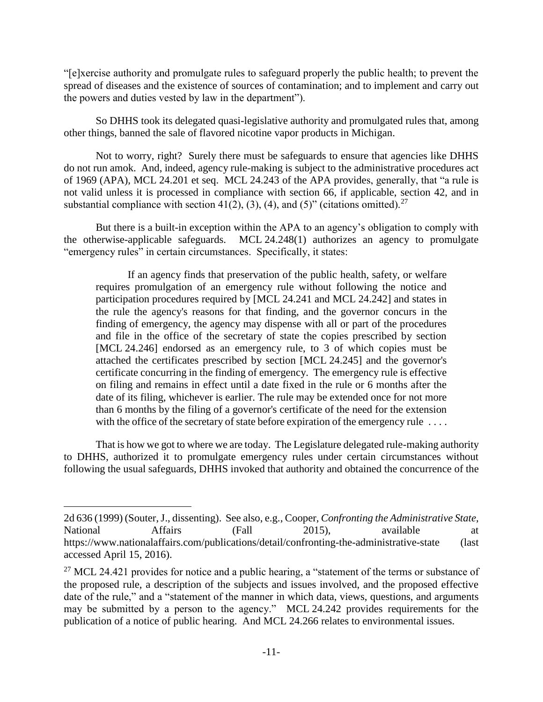"[e]xercise authority and promulgate rules to safeguard properly the public health; to prevent the spread of diseases and the existence of sources of contamination; and to implement and carry out the powers and duties vested by law in the department").

So DHHS took its delegated quasi-legislative authority and promulgated rules that, among other things, banned the sale of flavored nicotine vapor products in Michigan.

Not to worry, right? Surely there must be safeguards to ensure that agencies like DHHS do not run amok. And, indeed, agency rule-making is subject to the administrative procedures act of 1969 (APA), MCL 24.201 et seq. MCL 24.243 of the APA provides, generally, that "a rule is not valid unless it is processed in compliance with section 66, if applicable, section 42, and in substantial compliance with section 41(2), (3), (4), and (5)" (citations omitted).<sup>27</sup>

But there is a built-in exception within the APA to an agency's obligation to comply with the otherwise-applicable safeguards. MCL 24.248(1) authorizes an agency to promulgate "emergency rules" in certain circumstances. Specifically, it states:

If an agency finds that preservation of the public health, safety, or welfare requires promulgation of an emergency rule without following the notice and participation procedures required by [MCL 24.241 and MCL 24.242] and states in the rule the agency's reasons for that finding, and the governor concurs in the finding of emergency, the agency may dispense with all or part of the procedures and file in the office of the secretary of state the copies prescribed by section [MCL 24.246] endorsed as an emergency rule, to 3 of which copies must be attached the certificates prescribed by section [MCL 24.245] and the governor's certificate concurring in the finding of emergency. The emergency rule is effective on filing and remains in effect until a date fixed in the rule or 6 months after the date of its filing, whichever is earlier. The rule may be extended once for not more than 6 months by the filing of a governor's certificate of the need for the extension with the office of the secretary of state before expiration of the emergency rule . . . .

That is how we got to where we are today. The Legislature delegated rule-making authority to DHHS, authorized it to promulgate emergency rules under certain circumstances without following the usual safeguards, DHHS invoked that authority and obtained the concurrence of the

<sup>2</sup>d 636 (1999) (Souter, J., dissenting). See also, e.g., Cooper, *Confronting the Administrative State*, National Affairs (Fall 2015), available at https://www.nationalaffairs.com/publications/detail/confronting-the-administrative-state (last accessed April 15, 2016).

<sup>&</sup>lt;sup>27</sup> MCL 24.421 provides for notice and a public hearing, a "statement of the terms or substance of the proposed rule, a description of the subjects and issues involved, and the proposed effective date of the rule," and a "statement of the manner in which data, views, questions, and arguments may be submitted by a person to the agency." MCL 24.242 provides requirements for the publication of a notice of public hearing. And MCL 24.266 relates to environmental issues.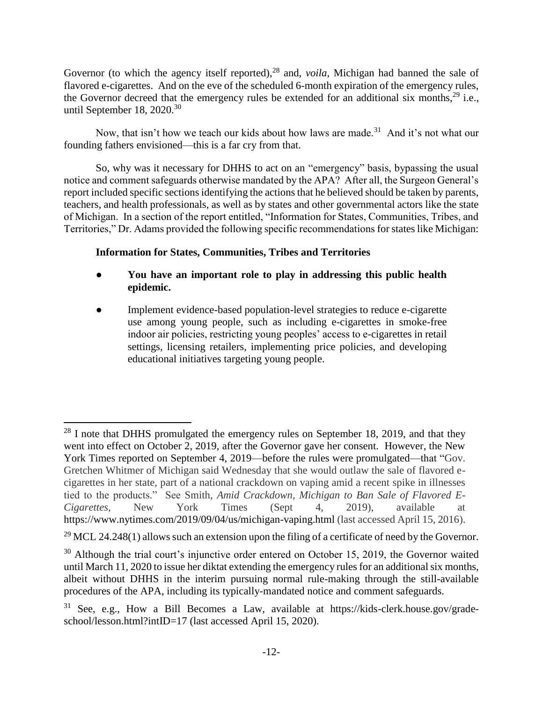Governor (to which the agency itself reported),<sup>28</sup> and, *voila*, Michigan had banned the sale of flavored e-cigarettes. And on the eve of the scheduled 6-month expiration of the emergency rules, the Governor decreed that the emergency rules be extended for an additional six months,  $29$  i.e., until September 18, 2020.<sup>30</sup>

Now, that isn't how we teach our kids about how laws are made.<sup>31</sup> And it's not what our founding fathers envisioned—this is a far cry from that.

So, why was it necessary for DHHS to act on an "emergency" basis, bypassing the usual notice and comment safeguards otherwise mandated by the APA? After all, the Surgeon General's report included specific sections identifying the actions that he believed should be taken by parents, teachers, and health professionals, as well as by states and other governmental actors like the state of Michigan. In a section of the report entitled, "Information for States, Communities, Tribes, and Territories," Dr. Adams provided the following specific recommendations for states like Michigan:

## **Information for States, Communities, Tribes and Territories**

- **You have an important role to play in addressing this public health epidemic.**
- Implement evidence-based population-level strategies to reduce e-cigarette use among young people, such as including e-cigarettes in smoke-free indoor air policies, restricting young peoples' access to e-cigarettes in retail settings, licensing retailers, implementing price policies, and developing educational initiatives targeting young people.

<sup>&</sup>lt;sup>28</sup> I note that DHHS promulgated the emergency rules on September 18, 2019, and that they went into effect on October 2, 2019, after the Governor gave her consent. However, the New York Times reported on September 4, 2019—before the rules were promulgated—that "Gov. Gretchen Whitmer of Michigan said Wednesday that she would outlaw the sale of flavored ecigarettes in her state, part of a national crackdown on vaping amid a recent spike in illnesses tied to the products." See Smith, *Amid Crackdown, Michigan to Ban Sale of Flavored E-Cigarettes*, New York Times (Sept 4, 2019), available at https://www.nytimes.com/2019/09/04/us/michigan-vaping.html (last accessed April 15, 2016).

<sup>&</sup>lt;sup>29</sup> MCL 24.248(1) allows such an extension upon the filing of a certificate of need by the Governor.

 $30$  Although the trial court's injunctive order entered on October 15, 2019, the Governor waited until March 11, 2020 to issue her diktat extending the emergency rules for an additional six months, albeit without DHHS in the interim pursuing normal rule-making through the still-available procedures of the APA, including its typically-mandated notice and comment safeguards.

 $31$  See, e.g., How a Bill Becomes a Law, available at https://kids-clerk.house.gov/gradeschool/lesson.html?intID=17 (last accessed April 15, 2020).